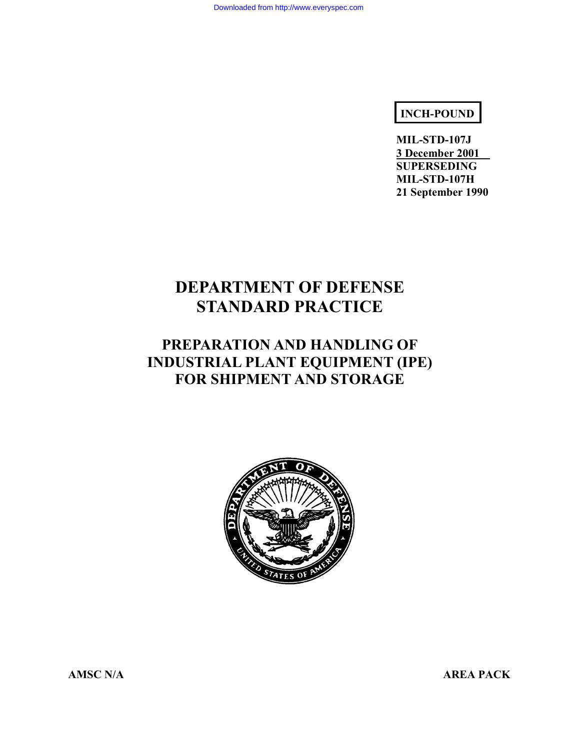### **INCH-POUND**

 **MIL-STD-107J 3 December 2001 SUPERSEDING MIL-STD-107H 21 September 1990** 

# **DEPARTMENT OF DEFENSE STANDARD PRACTICE**

# **PREPARATION AND HANDLING OF INDUSTRIAL PLANT EQUIPMENT (IPE) FOR SHIPMENT AND STORAGE**



**AMSC N/A**  $\triangle$  **AREA PACK**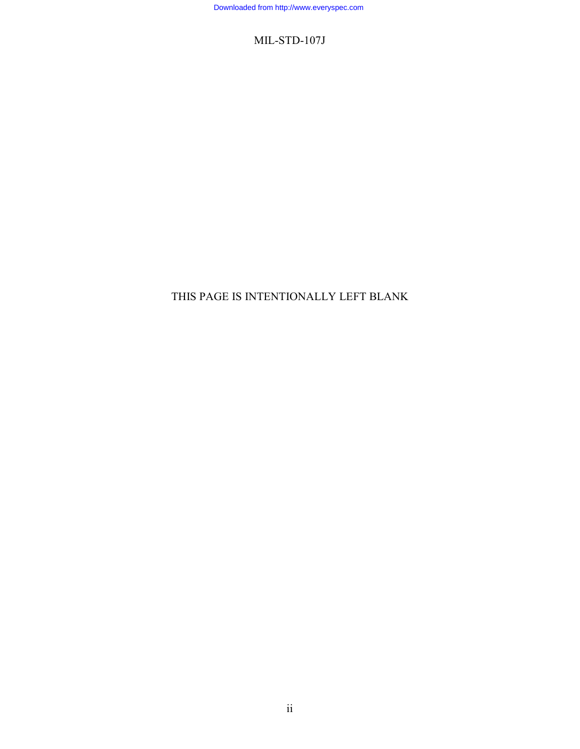Downloaded from http://www.everyspec.com

MIL-STD-107J

### THIS PAGE IS INTENTIONALLY LEFT BLANK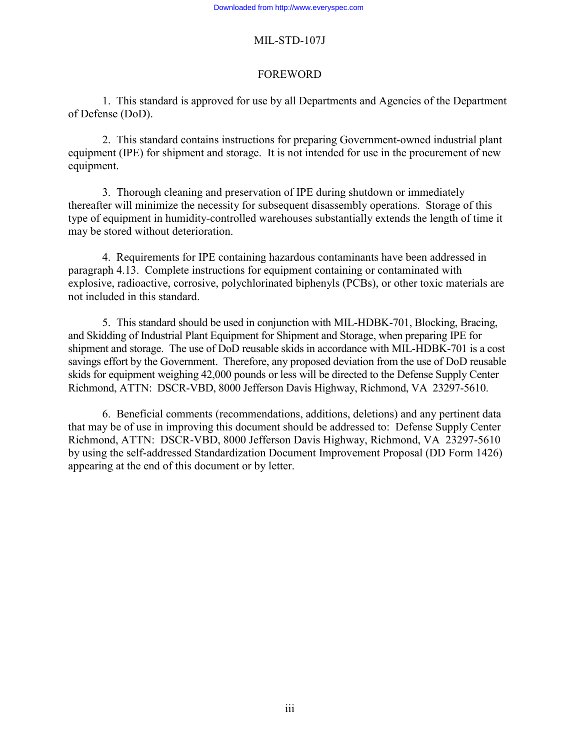#### FOREWORD

1. This standard is approved for use by all Departments and Agencies of the Department of Defense (DoD).

2. This standard contains instructions for preparing Government-owned industrial plant equipment (IPE) for shipment and storage. It is not intended for use in the procurement of new equipment.

3. Thorough cleaning and preservation of IPE during shutdown or immediately thereafter will minimize the necessity for subsequent disassembly operations. Storage of this type of equipment in humidity-controlled warehouses substantially extends the length of time it may be stored without deterioration.

4. Requirements for IPE containing hazardous contaminants have been addressed in paragraph 4.13. Complete instructions for equipment containing or contaminated with explosive, radioactive, corrosive, polychlorinated biphenyls (PCBs), or other toxic materials are not included in this standard.

5. This standard should be used in conjunction with MIL-HDBK-701, Blocking, Bracing, and Skidding of Industrial Plant Equipment for Shipment and Storage, when preparing IPE for shipment and storage. The use of DoD reusable skids in accordance with MIL-HDBK-701 is a cost savings effort by the Government. Therefore, any proposed deviation from the use of DoD reusable skids for equipment weighing 42,000 pounds or less will be directed to the Defense Supply Center Richmond, ATTN: DSCR-VBD, 8000 Jefferson Davis Highway, Richmond, VA 23297-5610.

6. Beneficial comments (recommendations, additions, deletions) and any pertinent data that may be of use in improving this document should be addressed to: Defense Supply Center Richmond, ATTN: DSCR-VBD, 8000 Jefferson Davis Highway, Richmond, VA 23297-5610 by using the self-addressed Standardization Document Improvement Proposal (DD Form 1426) appearing at the end of this document or by letter.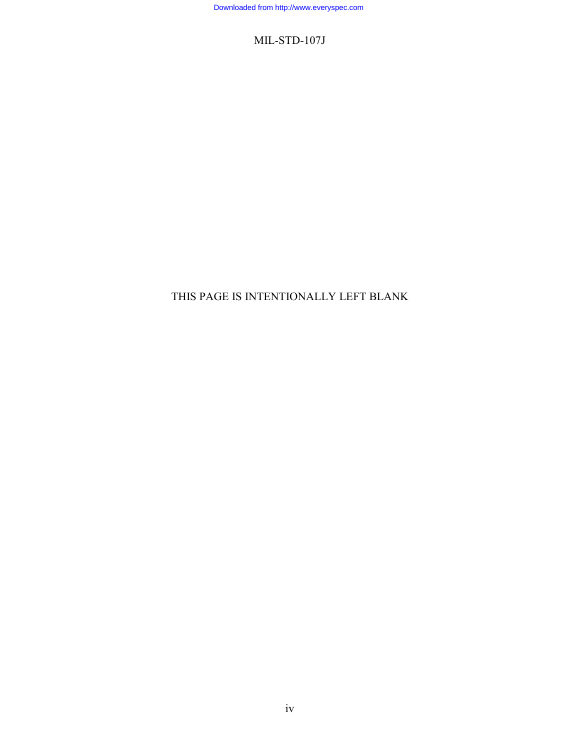Downloaded from http://www.everyspec.com

MIL-STD-107J

### THIS PAGE IS INTENTIONALLY LEFT BLANK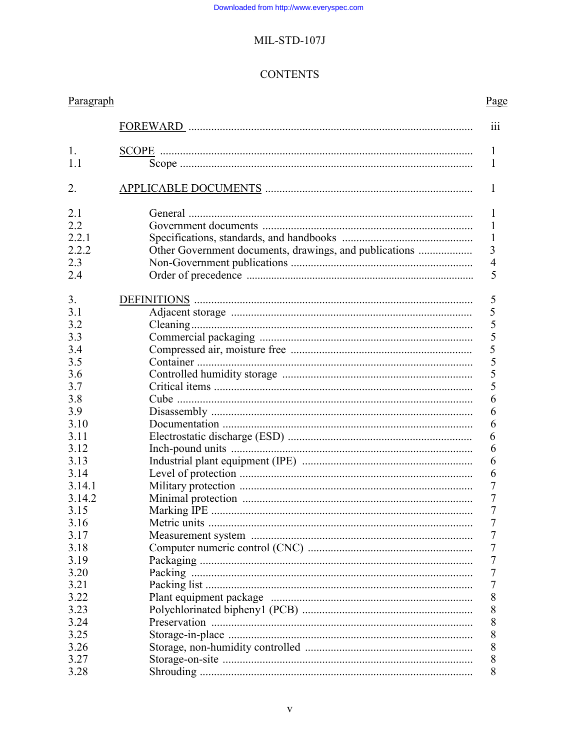### **CONTENTS**

| Paragraph | Page                           |
|-----------|--------------------------------|
|           | 111                            |
| 1.        | 1                              |
| 1.1       | 1                              |
| 2.        | 1                              |
| 2.1       | 1                              |
| 2.2       | 1                              |
| 2.2.1     | $\mathbf{1}$                   |
| 2.2.2     | $\overline{\mathbf{3}}$        |
| 2.3       | $\overline{4}$                 |
| 2.4       | 5                              |
|           |                                |
| 3.        | 5                              |
| 3.1       |                                |
| 3.2       | $\frac{5}{5}$<br>$\frac{5}{5}$ |
| 3.3       |                                |
| 3.4       |                                |
| 3.5       | 5                              |
| 3.6       | 5                              |
| 3.7       | 5                              |
| 3.8       | 6                              |
| 3.9       | 6                              |
| 3.10      | 6                              |
| 3.11      | 6                              |
| 3.12      | 6                              |
| 3.13      | 6                              |
| 3.14      | 6                              |
| 3 14 1    | 7                              |
| 3.14.2    | 7                              |
| 3.15      | 7                              |
| 3.16      | Ί                              |
| 3.17      |                                |
| 3.18      | 7                              |
| 3.19      |                                |
| 3.20      |                                |
| 3.21      | 7                              |
| 3.22      | 8                              |
| 3.23      | 8                              |
| 3.24      | 8                              |
| 3.25      | 8                              |
| 3.26      | 8                              |
| 3.27      | 8                              |
| 3.28      | 8                              |
|           |                                |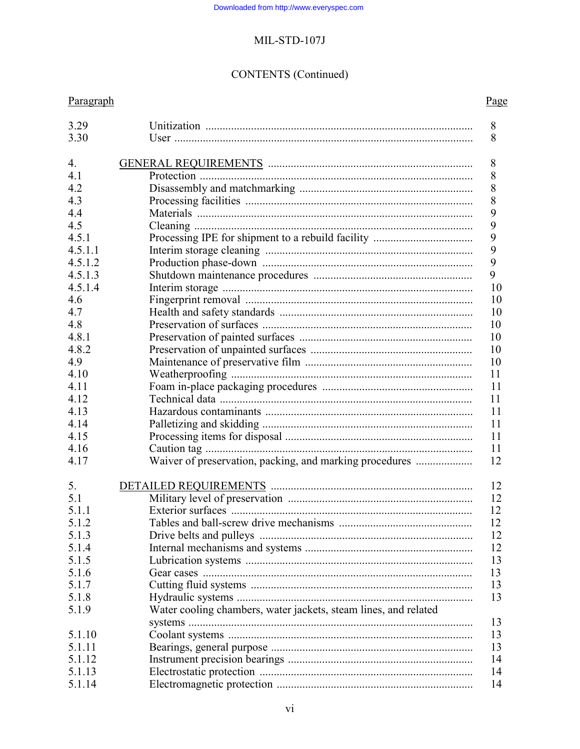#### **CONTENTS** (Continued)

#### Paragraph Page 3 29 8 3.30 8  $4.$ 8  $\mathsf{R}$ 4 1 4.2 8 43 8 4.4 9 9 4.5 Cleaning  $\ldots$   $\ldots$   $\ldots$   $\ldots$   $\ldots$   $\ldots$   $\ldots$   $\ldots$   $\ldots$   $\ldots$   $\ldots$   $\ldots$   $\ldots$   $\ldots$   $\ldots$   $\ldots$   $\ldots$   $\ldots$   $\ldots$   $\ldots$   $\ldots$   $\ldots$   $\ldots$   $\ldots$   $\ldots$   $\ldots$   $\ldots$   $\ldots$   $\ldots$   $\ldots$   $\ldots$   $\ldots$   $\ldots$   $\ldots$   $\ldots$   $\$ 9 4.5.1 9 4511 4512 9  $\mathbf{Q}$ 4513 4.5.1.4 10 46 10 4.7 10 48 10 481 10 482 10 49  $10$ 4 1 0 11 4.11 11 4 1 2  $11$ 4.13 11 4 1 4  $11$ 4 1 5  $11$ 4.16 11 4 1 7 12  $5<sub>1</sub>$ 12  $5.1$ 12 5.1.1 12 5.1.2 12 5 1 3 12 5.1.4 12 5 1 5 13 5.1.6 13 517 13 5 1 8 13 519 Water cooling chambers, water jackets, steam lines, and related 13 5 1 10  $13$ 5 1 1 1  $13$ 5 1 1 2 14 5.1.13 14 5 1 1 4 14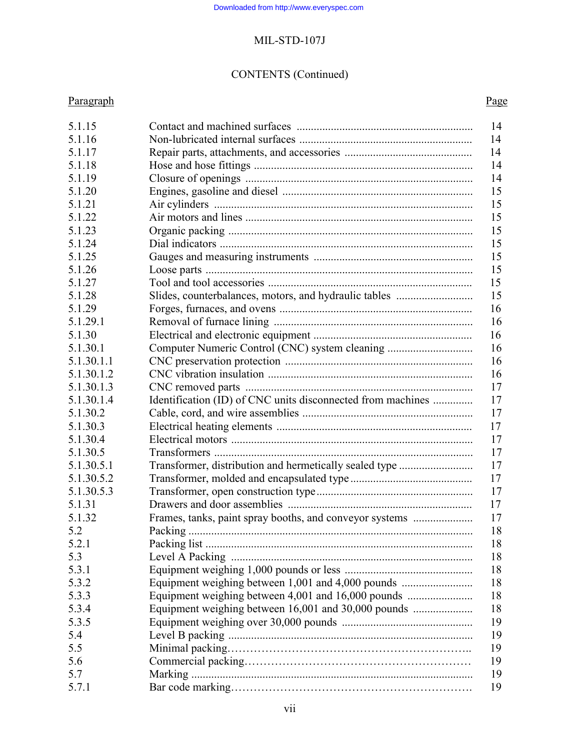## CONTENTS (Continued)

# Paragraph Paragraph Page

| 14                                                                |
|-------------------------------------------------------------------|
| 14                                                                |
| 14                                                                |
| 14                                                                |
| 14                                                                |
| 15                                                                |
| 15                                                                |
| 15                                                                |
| 15                                                                |
| 15                                                                |
| 15                                                                |
| 15                                                                |
|                                                                   |
| 15                                                                |
| Slides, counterbalances, motors, and hydraulic tables<br>15       |
| 16                                                                |
| 16                                                                |
| 16                                                                |
| 16                                                                |
| 16                                                                |
| 16                                                                |
| 17                                                                |
| Identification (ID) of CNC units disconnected from machines<br>17 |
| 17                                                                |
| 17                                                                |
| 17                                                                |
| 17                                                                |
| Transformer, distribution and hermetically sealed type<br>17      |
| 17                                                                |
| 17                                                                |
| 17                                                                |
| Frames, tanks, paint spray booths, and conveyor systems<br>17     |
| 18                                                                |
| 18                                                                |
| 18                                                                |
| 18                                                                |
| Equipment weighing between 1,001 and 4,000 pounds<br>18           |
| 18                                                                |
| 18                                                                |
| 19                                                                |
| 19                                                                |
| 19                                                                |
| 19                                                                |
| 19                                                                |
|                                                                   |
|                                                                   |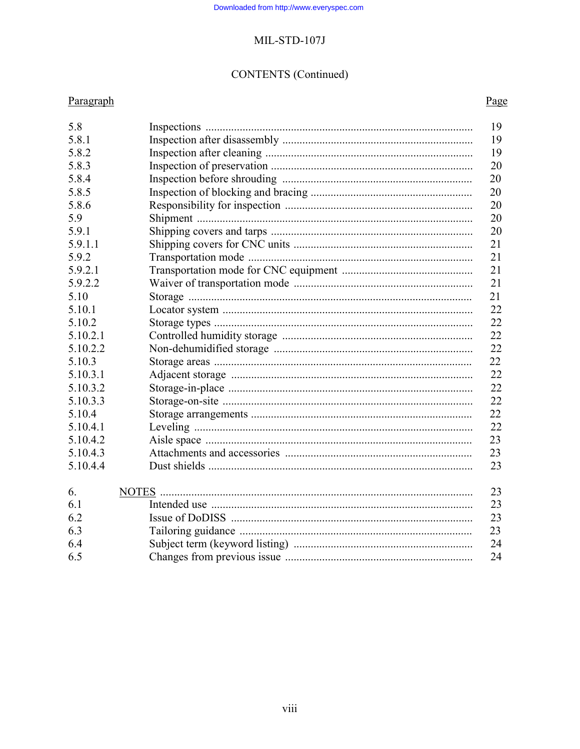## **CONTENTS** (Continued)

# Paragraph

## Page

| 5.8      | 19 |
|----------|----|
| 5.8.1    | 19 |
| 5.8.2    | 19 |
| 5.8.3    | 20 |
| 5.8.4    | 20 |
| 5.8.5    | 20 |
| 5.8.6    | 20 |
| 5.9      | 20 |
| 5.9.1    | 20 |
| 5.9.1.1  | 21 |
| 5.9.2    | 21 |
| 5.9.2.1  | 21 |
| 5.9.2.2  | 21 |
| 5.10     | 21 |
| 5.10.1   | 22 |
| 5.10.2   | 22 |
| 5.10.2.1 | 22 |
| 5.10.2.2 | 22 |
| 5.10.3   | 22 |
| 5.10.3.1 | 22 |
| 5.10.3.2 | 22 |
| 5.10.3.3 | 22 |
| 5.10.4   | 22 |
| 5.10.4.1 | 22 |
| 5.10.4.2 | 23 |
| 5.10.4.3 | 23 |
| 5.10.4.4 | 23 |
| 6.       | 23 |
| 6.1      | 23 |
| 6.2      | 23 |
| 6.3      | 23 |
| 6.4      | 24 |
| 6.5      | 24 |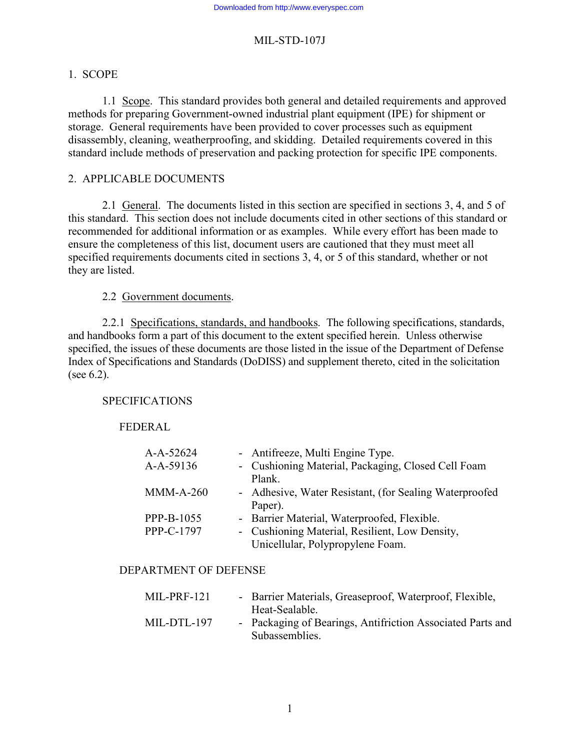#### 1. SCOPE

1.1 Scope. This standard provides both general and detailed requirements and approved methods for preparing Government-owned industrial plant equipment (IPE) for shipment or storage. General requirements have been provided to cover processes such as equipment disassembly, cleaning, weatherproofing, and skidding. Detailed requirements covered in this standard include methods of preservation and packing protection for specific IPE components.

#### 2. APPLICABLE DOCUMENTS

2.1 General. The documents listed in this section are specified in sections 3, 4, and 5 of this standard. This section does not include documents cited in other sections of this standard or recommended for additional information or as examples. While every effort has been made to ensure the completeness of this list, document users are cautioned that they must meet all specified requirements documents cited in sections 3, 4, or 5 of this standard, whether or not they are listed.

#### 2.2 Government documents.

2.2.1 Specifications, standards, and handbooks. The following specifications, standards, and handbooks form a part of this document to the extent specified herein. Unless otherwise specified, the issues of these documents are those listed in the issue of the Department of Defense Index of Specifications and Standards (DoDISS) and supplement thereto, cited in the solicitation (see 6.2).

#### **SPECIFICATIONS**

#### FEDERAL

| - Cushioning Material, Packaging, Closed Cell Foam<br>A-A-59136       |  |
|-----------------------------------------------------------------------|--|
|                                                                       |  |
| Plank.                                                                |  |
| - Adhesive, Water Resistant, (for Sealing Waterproofed<br>$MMM-A-260$ |  |
| Paper).                                                               |  |
| PPP-B-1055<br>- Barrier Material, Waterproofed, Flexible.             |  |
| - Cushioning Material, Resilient, Low Density,<br>PPP-C-1797          |  |
| Unicellular, Polypropylene Foam.                                      |  |

#### DEPARTMENT OF DEFENSE

| MIL-PRF-121 | - Barrier Materials, Greaseproof, Waterproof, Flexible,<br>Heat-Sealable.    |
|-------------|------------------------------------------------------------------------------|
| MIL-DTL-197 | - Packaging of Bearings, Antifriction Associated Parts and<br>Subassemblies. |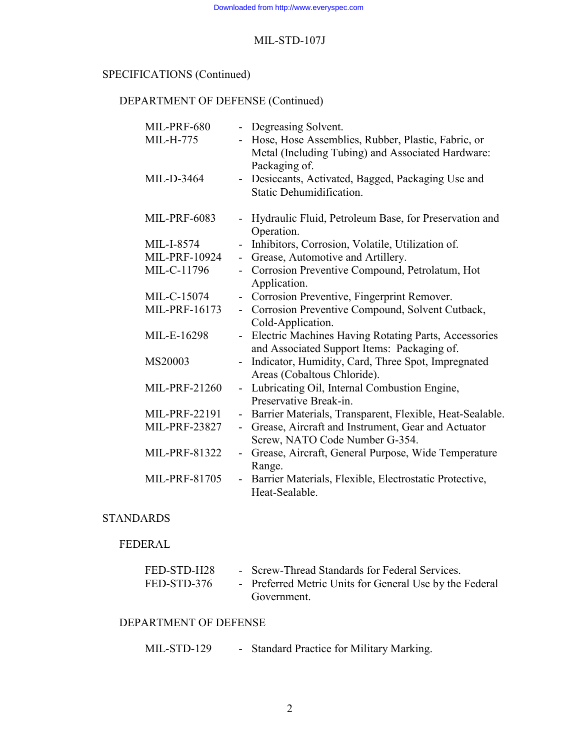### SPECIFICATIONS (Continued)

### DEPARTMENT OF DEFENSE (Continued)

| MIL-PRF-680<br>MIL-H-775<br>MIL-D-3464 | - Degreasing Solvent.<br>Hose, Hose Assemblies, Rubber, Plastic, Fabric, or<br>Metal (Including Tubing) and Associated Hardware:<br>Packaging of.<br>- Desiccants, Activated, Bagged, Packaging Use and |
|----------------------------------------|---------------------------------------------------------------------------------------------------------------------------------------------------------------------------------------------------------|
|                                        | Static Dehumidification.                                                                                                                                                                                |
| <b>MIL-PRF-6083</b>                    | - Hydraulic Fluid, Petroleum Base, for Preservation and<br>Operation.                                                                                                                                   |
| MIL-I-8574                             | Inhibitors, Corrosion, Volatile, Utilization of.                                                                                                                                                        |
| MIL-PRF-10924                          | - Grease, Automotive and Artillery.                                                                                                                                                                     |
| MIL-C-11796                            | - Corrosion Preventive Compound, Petrolatum, Hot<br>Application.                                                                                                                                        |
| MIL-C-15074                            | - Corrosion Preventive, Fingerprint Remover.                                                                                                                                                            |
| MIL-PRF-16173                          | - Corrosion Preventive Compound, Solvent Cutback,<br>Cold-Application.                                                                                                                                  |
| MIL-E-16298                            | Electric Machines Having Rotating Parts, Accessories<br>$\overline{\phantom{a}}$<br>and Associated Support Items: Packaging of.                                                                         |
| MS20003                                | Indicator, Humidity, Card, Three Spot, Impregnated<br>Areas (Cobaltous Chloride).                                                                                                                       |
| MIL-PRF-21260                          | - Lubricating Oil, Internal Combustion Engine,<br>Preservative Break-in.                                                                                                                                |
| MIL-PRF-22191                          | - Barrier Materials, Transparent, Flexible, Heat-Sealable.                                                                                                                                              |
| MIL-PRF-23827                          | - Grease, Aircraft and Instrument, Gear and Actuator<br>Screw, NATO Code Number G-354.                                                                                                                  |
| MIL-PRF-81322                          | Grease, Aircraft, General Purpose, Wide Temperature<br>$\blacksquare$<br>Range.                                                                                                                         |
| MIL-PRF-81705                          | Barrier Materials, Flexible, Electrostatic Protective,<br>$\blacksquare$<br>Heat-Sealable.                                                                                                              |

### **STANDARDS**

### FEDERAL

| FED-STD-H28 | - Screw-Thread Standards for Federal Services.          |
|-------------|---------------------------------------------------------|
| FED-STD-376 | - Preferred Metric Units for General Use by the Federal |
|             | Government.                                             |

### DEPARTMENT OF DEFENSE

| MIL-STD-129 |  | - Standard Practice for Military Marking. |
|-------------|--|-------------------------------------------|
|-------------|--|-------------------------------------------|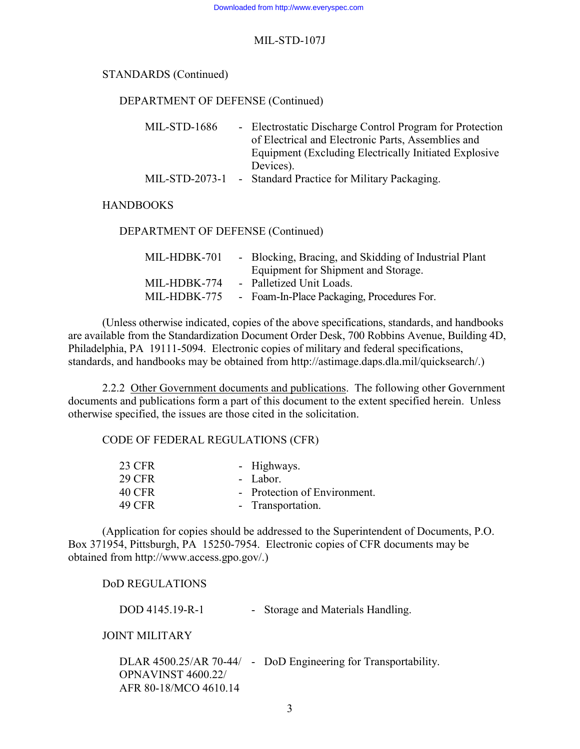#### STANDARDS (Continued)

#### DEPARTMENT OF DEFENSE (Continued)

| MIL-STD-1686   | - Electrostatic Discharge Control Program for Protection |
|----------------|----------------------------------------------------------|
|                | of Electrical and Electronic Parts, Assemblies and       |
|                | Equipment (Excluding Electrically Initiated Explosive)   |
|                | Devices).                                                |
| MIL-STD-2073-1 | - Standard Practice for Military Packaging.              |

#### HANDBOOKS

#### DEPARTMENT OF DEFENSE (Continued)

| MIL-HDBK-701 | - Blocking, Bracing, and Skidding of Industrial Plant   |
|--------------|---------------------------------------------------------|
|              | Equipment for Shipment and Storage.                     |
|              | MIL-HDBK-774 - Palletized Unit Loads.                   |
|              | MIL-HDBK-775 - Foam-In-Place Packaging, Procedures For. |

(Unless otherwise indicated, copies of the above specifications, standards, and handbooks are available from the Standardization Document Order Desk, 700 Robbins Avenue, Building 4D, Philadelphia, PA 19111-5094. Electronic copies of military and federal specifications, standards, and handbooks may be obtained from http://astimage.daps.dla.mil/quicksearch/.)

2.2.2 Other Government documents and publications. The following other Government documents and publications form a part of this document to the extent specified herein. Unless otherwise specified, the issues are those cited in the solicitation.

CODE OF FEDERAL REGULATIONS (CFR)

| 23 CFR        | - Highways.                  |
|---------------|------------------------------|
| <b>29 CFR</b> | - Labor.                     |
| 40 CFR        | - Protection of Environment. |
| 49 CFR        | - Transportation.            |

(Application for copies should be addressed to the Superintendent of Documents, P.O. Box 371954, Pittsburgh, PA 15250-7954. Electronic copies of CFR documents may be obtained from http://www.access.gpo.gov/.)

#### DoD REGULATIONS

| DOD 4145.19-R-1 | - Storage and Materials Handling. |
|-----------------|-----------------------------------|
|-----------------|-----------------------------------|

#### JOINT MILITARY

 DLAR 4500.25/AR 70-44/ - DoD Engineering for Transportability. OPNAVINST 4600.22/ AFR 80-18/MCO 4610.14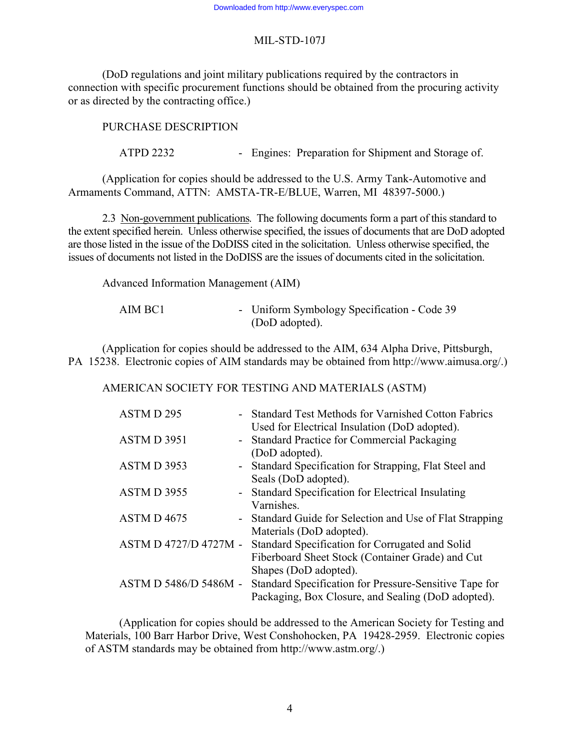(DoD regulations and joint military publications required by the contractors in connection with specific procurement functions should be obtained from the procuring activity or as directed by the contracting office.)

PURCHASE DESCRIPTION

ATPD 2232 - Engines: Preparation for Shipment and Storage of.

(Application for copies should be addressed to the U.S. Army Tank-Automotive and Armaments Command, ATTN: AMSTA-TR-E/BLUE, Warren, MI 48397-5000.)

2.3 Non-government publications. The following documents form a part of this standard to the extent specified herein. Unless otherwise specified, the issues of documents that are DoD adopted are those listed in the issue of the DoDISS cited in the solicitation. Unless otherwise specified, the issues of documents not listed in the DoDISS are the issues of documents cited in the solicitation.

Advanced Information Management (AIM)

| AIM BC1 | - Uniform Symbology Specification - Code 39 |
|---------|---------------------------------------------|
|         | (DoD adopted).                              |

(Application for copies should be addressed to the AIM, 634 Alpha Drive, Pittsburgh, PA 15238. Electronic copies of AIM standards may be obtained from http://www.aimusa.org/.)

AMERICAN SOCIETY FOR TESTING AND MATERIALS (ASTM)

| ASTM D 295            | - Standard Test Methods for Varnished Cotton Fabrics<br>Used for Electrical Insulation (DoD adopted). |
|-----------------------|-------------------------------------------------------------------------------------------------------|
| ASTMD 3951            | - Standard Practice for Commercial Packaging                                                          |
|                       | (DoD adopted).                                                                                        |
| ASTMD 3953            | - Standard Specification for Strapping, Flat Steel and<br>Seals (DoD adopted).                        |
| ASTMD 3955            | - Standard Specification for Electrical Insulating                                                    |
|                       | Varnishes.                                                                                            |
| ASTM D 4675           | - Standard Guide for Selection and Use of Flat Strapping                                              |
|                       | Materials (DoD adopted).                                                                              |
| ASTM D 4727/D 4727M - | Standard Specification for Corrugated and Solid                                                       |
|                       | Fiberboard Sheet Stock (Container Grade) and Cut                                                      |
|                       | Shapes (DoD adopted).                                                                                 |
| ASTM D 5486/D 5486M - | Standard Specification for Pressure-Sensitive Tape for                                                |
|                       | Packaging, Box Closure, and Sealing (DoD adopted).                                                    |
|                       |                                                                                                       |

(Application for copies should be addressed to the American Society for Testing and Materials, 100 Barr Harbor Drive, West Conshohocken, PA 19428-2959. Electronic copies of ASTM standards may be obtained from http://www.astm.org/.)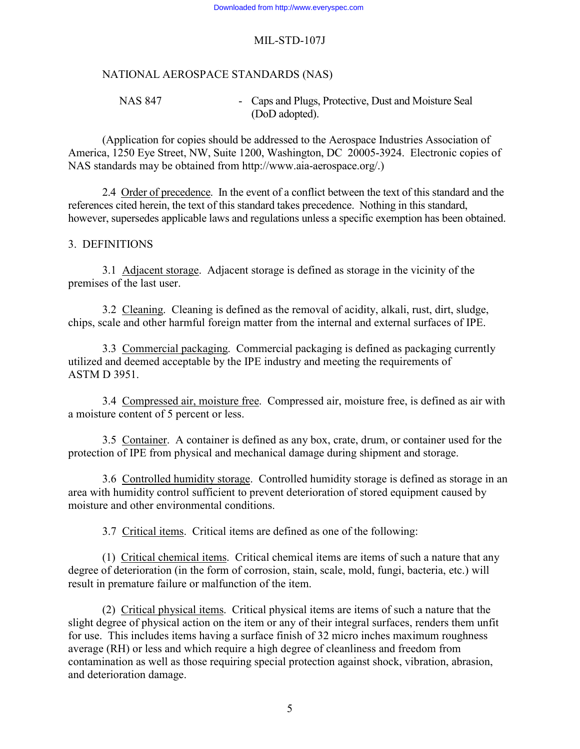#### NATIONAL AEROSPACE STANDARDS (NAS)

NAS 847 - Caps and Plugs, Protective, Dust and Moisture Seal (DoD adopted).

(Application for copies should be addressed to the Aerospace Industries Association of America, 1250 Eye Street, NW, Suite 1200, Washington, DC 20005-3924. Electronic copies of NAS standards may be obtained from http://www.aia-aerospace.org/.)

2.4 Order of precedence. In the event of a conflict between the text of this standard and the references cited herein, the text of this standard takes precedence. Nothing in this standard, however, supersedes applicable laws and regulations unless a specific exemption has been obtained.

#### 3. DEFINITIONS

3.1 Adjacent storage. Adjacent storage is defined as storage in the vicinity of the premises of the last user.

3.2 Cleaning. Cleaning is defined as the removal of acidity, alkali, rust, dirt, sludge, chips, scale and other harmful foreign matter from the internal and external surfaces of IPE.

3.3 Commercial packaging. Commercial packaging is defined as packaging currently utilized and deemed acceptable by the IPE industry and meeting the requirements of ASTM D 3951.

3.4 Compressed air, moisture free. Compressed air, moisture free, is defined as air with a moisture content of 5 percent or less.

3.5 Container. A container is defined as any box, crate, drum, or container used for the protection of IPE from physical and mechanical damage during shipment and storage.

3.6 Controlled humidity storage. Controlled humidity storage is defined as storage in an area with humidity control sufficient to prevent deterioration of stored equipment caused by moisture and other environmental conditions.

3.7 Critical items. Critical items are defined as one of the following:

(1) Critical chemical items. Critical chemical items are items of such a nature that any degree of deterioration (in the form of corrosion, stain, scale, mold, fungi, bacteria, etc.) will result in premature failure or malfunction of the item.

(2) Critical physical items. Critical physical items are items of such a nature that the slight degree of physical action on the item or any of their integral surfaces, renders them unfit for use. This includes items having a surface finish of 32 micro inches maximum roughness average (RH) or less and which require a high degree of cleanliness and freedom from contamination as well as those requiring special protection against shock, vibration, abrasion, and deterioration damage.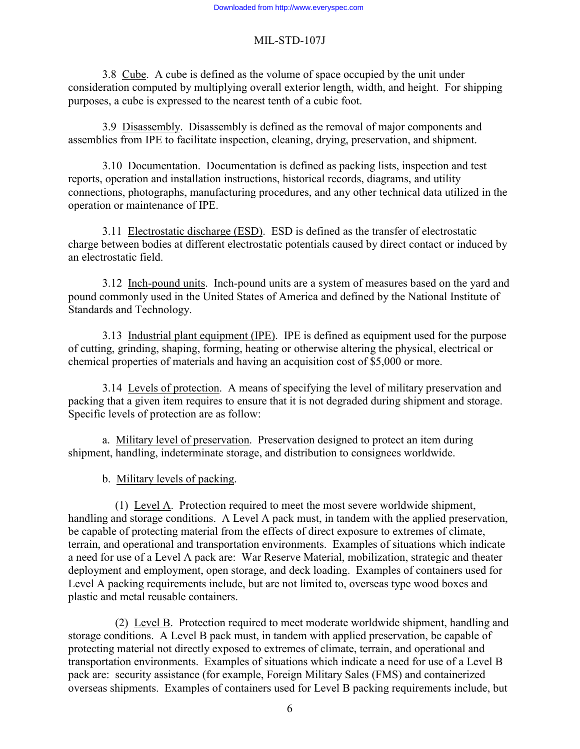3.8 Cube. A cube is defined as the volume of space occupied by the unit under consideration computed by multiplying overall exterior length, width, and height. For shipping purposes, a cube is expressed to the nearest tenth of a cubic foot.

3.9 Disassembly. Disassembly is defined as the removal of major components and assemblies from IPE to facilitate inspection, cleaning, drying, preservation, and shipment.

3.10 Documentation. Documentation is defined as packing lists, inspection and test reports, operation and installation instructions, historical records, diagrams, and utility connections, photographs, manufacturing procedures, and any other technical data utilized in the operation or maintenance of IPE.

3.11 Electrostatic discharge (ESD). ESD is defined as the transfer of electrostatic charge between bodies at different electrostatic potentials caused by direct contact or induced by an electrostatic field.

3.12 Inch-pound units. Inch-pound units are a system of measures based on the yard and pound commonly used in the United States of America and defined by the National Institute of Standards and Technology.

3.13 Industrial plant equipment (IPE). IPE is defined as equipment used for the purpose of cutting, grinding, shaping, forming, heating or otherwise altering the physical, electrical or chemical properties of materials and having an acquisition cost of \$5,000 or more.

3.14 Levels of protection. A means of specifying the level of military preservation and packing that a given item requires to ensure that it is not degraded during shipment and storage. Specific levels of protection are as follow:

a. Military level of preservation. Preservation designed to protect an item during shipment, handling, indeterminate storage, and distribution to consignees worldwide.

b. Military levels of packing.

(1) Level A. Protection required to meet the most severe worldwide shipment, handling and storage conditions. A Level A pack must, in tandem with the applied preservation, be capable of protecting material from the effects of direct exposure to extremes of climate, terrain, and operational and transportation environments. Examples of situations which indicate a need for use of a Level A pack are: War Reserve Material, mobilization, strategic and theater deployment and employment, open storage, and deck loading. Examples of containers used for Level A packing requirements include, but are not limited to, overseas type wood boxes and plastic and metal reusable containers.

(2) Level B. Protection required to meet moderate worldwide shipment, handling and storage conditions. A Level B pack must, in tandem with applied preservation, be capable of protecting material not directly exposed to extremes of climate, terrain, and operational and transportation environments. Examples of situations which indicate a need for use of a Level B pack are: security assistance (for example, Foreign Military Sales (FMS) and containerized overseas shipments. Examples of containers used for Level B packing requirements include, but

6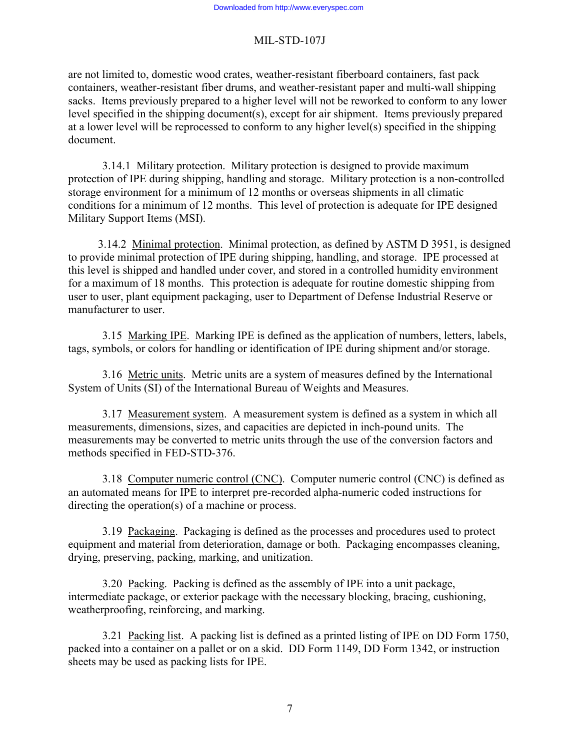are not limited to, domestic wood crates, weather-resistant fiberboard containers, fast pack containers, weather-resistant fiber drums, and weather-resistant paper and multi-wall shipping sacks. Items previously prepared to a higher level will not be reworked to conform to any lower level specified in the shipping document(s), except for air shipment. Items previously prepared at a lower level will be reprocessed to conform to any higher level(s) specified in the shipping document.

3.14.1 Military protection. Military protection is designed to provide maximum protection of IPE during shipping, handling and storage. Military protection is a non-controlled storage environment for a minimum of 12 months or overseas shipments in all climatic conditions for a minimum of 12 months. This level of protection is adequate for IPE designed Military Support Items (MSI).

 3.14.2 Minimal protection. Minimal protection, as defined by ASTM D 3951, is designed to provide minimal protection of IPE during shipping, handling, and storage. IPE processed at this level is shipped and handled under cover, and stored in a controlled humidity environment for a maximum of 18 months. This protection is adequate for routine domestic shipping from user to user, plant equipment packaging, user to Department of Defense Industrial Reserve or manufacturer to user.

3.15 Marking IPE. Marking IPE is defined as the application of numbers, letters, labels, tags, symbols, or colors for handling or identification of IPE during shipment and/or storage.

3.16 Metric units. Metric units are a system of measures defined by the International System of Units (SI) of the International Bureau of Weights and Measures.

3.17 Measurement system. A measurement system is defined as a system in which all measurements, dimensions, sizes, and capacities are depicted in inch-pound units. The measurements may be converted to metric units through the use of the conversion factors and methods specified in FED-STD-376.

3.18 Computer numeric control (CNC). Computer numeric control (CNC) is defined as an automated means for IPE to interpret pre-recorded alpha-numeric coded instructions for directing the operation(s) of a machine or process.

3.19 Packaging. Packaging is defined as the processes and procedures used to protect equipment and material from deterioration, damage or both. Packaging encompasses cleaning, drying, preserving, packing, marking, and unitization.

3.20 Packing. Packing is defined as the assembly of IPE into a unit package, intermediate package, or exterior package with the necessary blocking, bracing, cushioning, weatherproofing, reinforcing, and marking.

3.21 Packing list. A packing list is defined as a printed listing of IPE on DD Form 1750, packed into a container on a pallet or on a skid. DD Form 1149, DD Form 1342, or instruction sheets may be used as packing lists for IPE.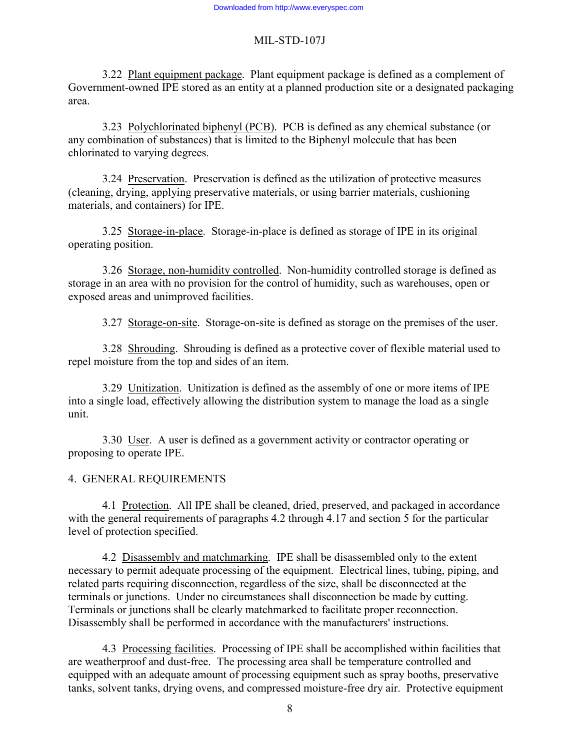3.22 Plant equipment package. Plant equipment package is defined as a complement of Government-owned IPE stored as an entity at a planned production site or a designated packaging area.

3.23 Polychlorinated biphenyl (PCB). PCB is defined as any chemical substance (or any combination of substances) that is limited to the Biphenyl molecule that has been chlorinated to varying degrees.

3.24 Preservation. Preservation is defined as the utilization of protective measures (cleaning, drying, applying preservative materials, or using barrier materials, cushioning materials, and containers) for IPE.

3.25 Storage-in-place. Storage-in-place is defined as storage of IPE in its original operating position.

3.26 Storage, non-humidity controlled. Non-humidity controlled storage is defined as storage in an area with no provision for the control of humidity, such as warehouses, open or exposed areas and unimproved facilities.

3.27 Storage-on-site. Storage-on-site is defined as storage on the premises of the user.

3.28 Shrouding. Shrouding is defined as a protective cover of flexible material used to repel moisture from the top and sides of an item.

3.29 Unitization. Unitization is defined as the assembly of one or more items of IPE into a single load, effectively allowing the distribution system to manage the load as a single unit.

3.30 User. A user is defined as a government activity or contractor operating or proposing to operate IPE.

#### 4. GENERAL REQUIREMENTS

4.1 Protection. All IPE shall be cleaned, dried, preserved, and packaged in accordance with the general requirements of paragraphs 4.2 through 4.17 and section 5 for the particular level of protection specified.

4.2 Disassembly and matchmarking. IPE shall be disassembled only to the extent necessary to permit adequate processing of the equipment. Electrical lines, tubing, piping, and related parts requiring disconnection, regardless of the size, shall be disconnected at the terminals or junctions. Under no circumstances shall disconnection be made by cutting. Terminals or junctions shall be clearly matchmarked to facilitate proper reconnection. Disassembly shall be performed in accordance with the manufacturers' instructions.

4.3 Processing facilities. Processing of IPE shall be accomplished within facilities that are weatherproof and dust-free. The processing area shall be temperature controlled and equipped with an adequate amount of processing equipment such as spray booths, preservative tanks, solvent tanks, drying ovens, and compressed moisture-free dry air. Protective equipment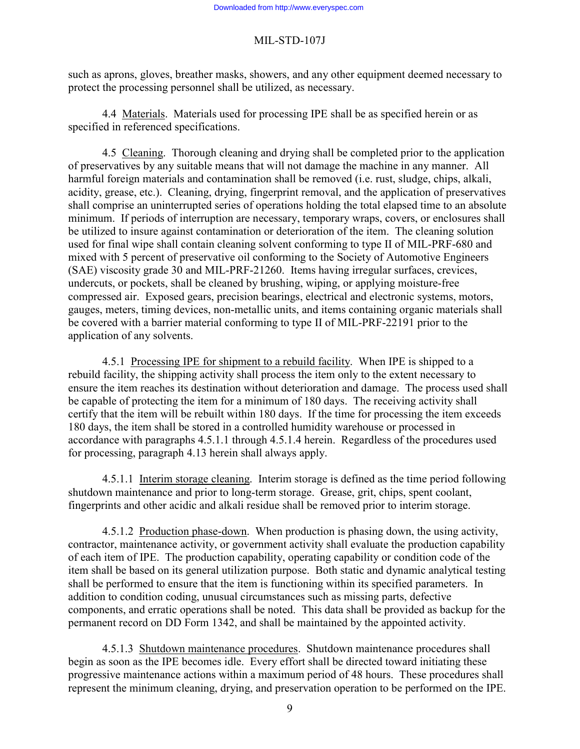such as aprons, gloves, breather masks, showers, and any other equipment deemed necessary to protect the processing personnel shall be utilized, as necessary.

4.4 Materials. Materials used for processing IPE shall be as specified herein or as specified in referenced specifications.

4.5 Cleaning. Thorough cleaning and drying shall be completed prior to the application of preservatives by any suitable means that will not damage the machine in any manner. All harmful foreign materials and contamination shall be removed (i.e. rust, sludge, chips, alkali, acidity, grease, etc.). Cleaning, drying, fingerprint removal, and the application of preservatives shall comprise an uninterrupted series of operations holding the total elapsed time to an absolute minimum. If periods of interruption are necessary, temporary wraps, covers, or enclosures shall be utilized to insure against contamination or deterioration of the item. The cleaning solution used for final wipe shall contain cleaning solvent conforming to type II of MIL-PRF-680 and mixed with 5 percent of preservative oil conforming to the Society of Automotive Engineers (SAE) viscosity grade 30 and MIL-PRF-21260. Items having irregular surfaces, crevices, undercuts, or pockets, shall be cleaned by brushing, wiping, or applying moisture-free compressed air. Exposed gears, precision bearings, electrical and electronic systems, motors, gauges, meters, timing devices, non-metallic units, and items containing organic materials shall be covered with a barrier material conforming to type II of MIL-PRF-22191 prior to the application of any solvents.

4.5.1 Processing IPE for shipment to a rebuild facility. When IPE is shipped to a rebuild facility, the shipping activity shall process the item only to the extent necessary to ensure the item reaches its destination without deterioration and damage. The process used shall be capable of protecting the item for a minimum of 180 days. The receiving activity shall certify that the item will be rebuilt within 180 days. If the time for processing the item exceeds 180 days, the item shall be stored in a controlled humidity warehouse or processed in accordance with paragraphs 4.5.1.1 through 4.5.1.4 herein. Regardless of the procedures used for processing, paragraph 4.13 herein shall always apply.

4.5.1.1 Interim storage cleaning. Interim storage is defined as the time period following shutdown maintenance and prior to long-term storage. Grease, grit, chips, spent coolant, fingerprints and other acidic and alkali residue shall be removed prior to interim storage.

4.5.1.2 Production phase-down. When production is phasing down, the using activity, contractor, maintenance activity, or government activity shall evaluate the production capability of each item of IPE. The production capability, operating capability or condition code of the item shall be based on its general utilization purpose. Both static and dynamic analytical testing shall be performed to ensure that the item is functioning within its specified parameters. In addition to condition coding, unusual circumstances such as missing parts, defective components, and erratic operations shall be noted. This data shall be provided as backup for the permanent record on DD Form 1342, and shall be maintained by the appointed activity.

4.5.1.3 Shutdown maintenance procedures. Shutdown maintenance procedures shall begin as soon as the IPE becomes idle. Every effort shall be directed toward initiating these progressive maintenance actions within a maximum period of 48 hours. These procedures shall represent the minimum cleaning, drying, and preservation operation to be performed on the IPE.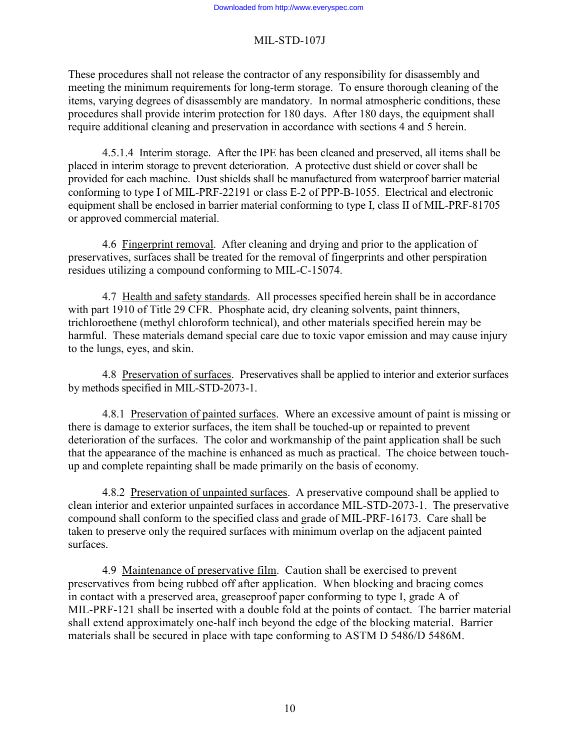These procedures shall not release the contractor of any responsibility for disassembly and meeting the minimum requirements for long-term storage. To ensure thorough cleaning of the items, varying degrees of disassembly are mandatory. In normal atmospheric conditions, these procedures shall provide interim protection for 180 days. After 180 days, the equipment shall require additional cleaning and preservation in accordance with sections 4 and 5 herein.

4.5.1.4 Interim storage. After the IPE has been cleaned and preserved, all items shall be placed in interim storage to prevent deterioration. A protective dust shield or cover shall be provided for each machine. Dust shields shall be manufactured from waterproof barrier material conforming to type I of MIL-PRF-22191 or class E-2 of PPP-B-1055. Electrical and electronic equipment shall be enclosed in barrier material conforming to type I, class II of MIL-PRF-81705 or approved commercial material.

4.6 Fingerprint removal. After cleaning and drying and prior to the application of preservatives, surfaces shall be treated for the removal of fingerprints and other perspiration residues utilizing a compound conforming to MIL-C-15074.

4.7 Health and safety standards. All processes specified herein shall be in accordance with part 1910 of Title 29 CFR. Phosphate acid, dry cleaning solvents, paint thinners, trichloroethene (methyl chloroform technical), and other materials specified herein may be harmful. These materials demand special care due to toxic vapor emission and may cause injury to the lungs, eyes, and skin.

4.8 Preservation of surfaces. Preservatives shall be applied to interior and exterior surfaces by methods specified in MIL-STD-2073-1.

4.8.1 Preservation of painted surfaces. Where an excessive amount of paint is missing or there is damage to exterior surfaces, the item shall be touched-up or repainted to prevent deterioration of the surfaces. The color and workmanship of the paint application shall be such that the appearance of the machine is enhanced as much as practical. The choice between touchup and complete repainting shall be made primarily on the basis of economy.

4.8.2 Preservation of unpainted surfaces. A preservative compound shall be applied to clean interior and exterior unpainted surfaces in accordance MIL-STD-2073-1. The preservative compound shall conform to the specified class and grade of MIL-PRF-16173. Care shall be taken to preserve only the required surfaces with minimum overlap on the adjacent painted surfaces.

4.9 Maintenance of preservative film. Caution shall be exercised to prevent preservatives from being rubbed off after application. When blocking and bracing comes in contact with a preserved area, greaseproof paper conforming to type I, grade A of MIL-PRF-121 shall be inserted with a double fold at the points of contact. The barrier material shall extend approximately one-half inch beyond the edge of the blocking material. Barrier materials shall be secured in place with tape conforming to ASTM D 5486/D 5486M.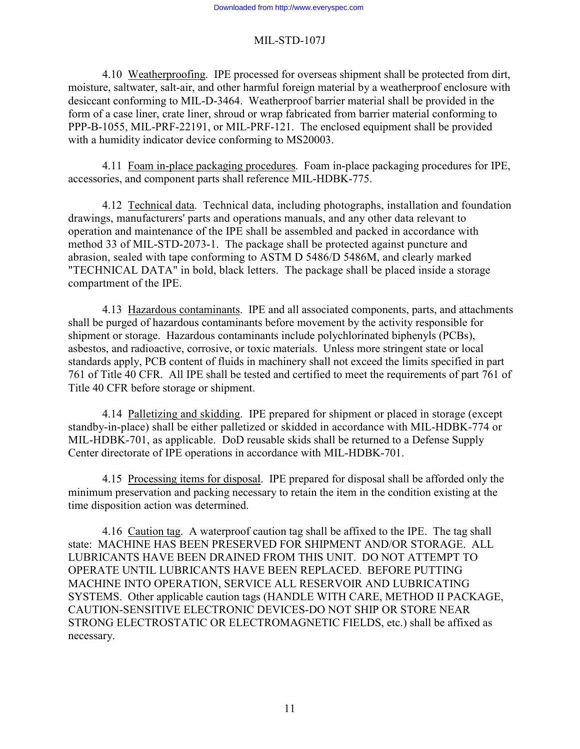4.10 Weatherproofing. IPE processed for overseas shipment shall be protected from dirt, moisture, saltwater, salt-air, and other harmful foreign material by a weatherproof enclosure with desiccant conforming to MIL-D-3464. Weatherproof barrier material shall be provided in the form of a case liner, crate liner, shroud or wrap fabricated from barrier material conforming to PPP-B-1055, MIL-PRF-22191, or MIL-PRF-121. The enclosed equipment shall be provided with a humidity indicator device conforming to MS20003.

4.11 Foam in-place packaging procedures. Foam in-place packaging procedures for IPE, accessories, and component parts shall reference MIL-HDBK-775.

4.12 Technical data. Technical data, including photographs, installation and foundation drawings, manufacturers' parts and operations manuals, and any other data relevant to operation and maintenance of the IPE shall be assembled and packed in accordance with method 33 of MIL-STD-2073-1. The package shall be protected against puncture and abrasion, sealed with tape conforming to ASTM D 5486/D 5486M, and clearly marked "TECHNICAL DATA" in bold, black letters. The package shall be placed inside a storage compartment of the IPE.

4.13 Hazardous contaminants. IPE and all associated components, parts, and attachments shall be purged of hazardous contaminants before movement by the activity responsible for shipment or storage. Hazardous contaminants include polychlorinated biphenyls (PCBs), asbestos, and radioactive, corrosive, or toxic materials. Unless more stringent state or local standards apply, PCB content of fluids in machinery shall not exceed the limits specified in part 761 of Title 40 CFR. All IPE shall be tested and certified to meet the requirements of part 761 of Title 40 CFR before storage or shipment.

4.14 Palletizing and skidding. IPE prepared for shipment or placed in storage (except standby-in-place) shall be either palletized or skidded in accordance with MIL-HDBK-774 or MIL-HDBK-701, as applicable. DoD reusable skids shall be returned to a Defense Supply Center directorate of IPE operations in accordance with MIL-HDBK-701.

4.15 Processing items for disposal. IPE prepared for disposal shall be afforded only the minimum preservation and packing necessary to retain the item in the condition existing at the time disposition action was determined.

4.16 Caution tag. A waterproof caution tag shall be affixed to the IPE. The tag shall state: MACHINE HAS BEEN PRESERVED FOR SHIPMENT AND/OR STORAGE. ALL LUBRICANTS HAVE BEEN DRAINED FROM THIS UNIT. DO NOT ATTEMPT TO OPERATE UNTIL LUBRICANTS HAVE BEEN REPLACED. BEFORE PUTTING MACHINE INTO OPERATION, SERVICE ALL RESERVOIR AND LUBRICATING SYSTEMS. Other applicable caution tags (HANDLE WITH CARE, METHOD II PACKAGE, CAUTION-SENSITIVE ELECTRONIC DEVICES-DO NOT SHIP OR STORE NEAR STRONG ELECTROSTATIC OR ELECTROMAGNETIC FIELDS, etc.) shall be affixed as necessary.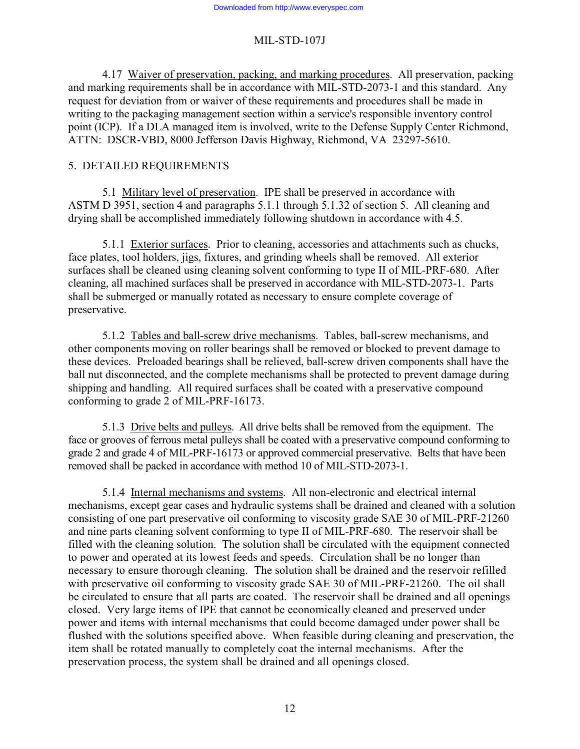4.17 Waiver of preservation, packing, and marking procedures. All preservation, packing and marking requirements shall be in accordance with MIL-STD-2073-1 and this standard. Any request for deviation from or waiver of these requirements and procedures shall be made in writing to the packaging management section within a service's responsible inventory control point (ICP). If a DLA managed item is involved, write to the Defense Supply Center Richmond, ATTN: DSCR-VBD, 8000 Jefferson Davis Highway, Richmond, VA 23297-5610.

### 5. DETAILED REQUIREMENTS

5.1 Military level of preservation. IPE shall be preserved in accordance with ASTM D 3951, section 4 and paragraphs 5.1.1 through 5.1.32 of section 5. All cleaning and drying shall be accomplished immediately following shutdown in accordance with 4.5.

5.1.1 Exterior surfaces. Prior to cleaning, accessories and attachments such as chucks, face plates, tool holders, jigs, fixtures, and grinding wheels shall be removed. All exterior surfaces shall be cleaned using cleaning solvent conforming to type II of MIL-PRF-680. After cleaning, all machined surfaces shall be preserved in accordance with MIL-STD-2073-1. Parts shall be submerged or manually rotated as necessary to ensure complete coverage of preservative.

5.1.2 Tables and ball-screw drive mechanisms. Tables, ball-screw mechanisms, and other components moving on roller bearings shall be removed or blocked to prevent damage to these devices. Preloaded bearings shall be relieved, ball-screw driven components shall have the ball nut disconnected, and the complete mechanisms shall be protected to prevent damage during shipping and handling. All required surfaces shall be coated with a preservative compound conforming to grade 2 of MIL-PRF-16173.

5.1.3 Drive belts and pulleys. All drive belts shall be removed from the equipment. The face or grooves of ferrous metal pulleys shall be coated with a preservative compound conforming to grade 2 and grade 4 of MIL-PRF-16173 or approved commercial preservative. Belts that have been removed shall be packed in accordance with method 10 of MIL-STD-2073-1.

5.1.4 Internal mechanisms and systems. All non-electronic and electrical internal mechanisms, except gear cases and hydraulic systems shall be drained and cleaned with a solution consisting of one part preservative oil conforming to viscosity grade SAE 30 of MIL-PRF-21260 and nine parts cleaning solvent conforming to type II of MIL-PRF-680. The reservoir shall be filled with the cleaning solution. The solution shall be circulated with the equipment connected to power and operated at its lowest feeds and speeds. Circulation shall be no longer than necessary to ensure thorough cleaning. The solution shall be drained and the reservoir refilled with preservative oil conforming to viscosity grade SAE 30 of MIL-PRF-21260. The oil shall be circulated to ensure that all parts are coated. The reservoir shall be drained and all openings closed. Very large items of IPE that cannot be economically cleaned and preserved under power and items with internal mechanisms that could become damaged under power shall be flushed with the solutions specified above. When feasible during cleaning and preservation, the item shall be rotated manually to completely coat the internal mechanisms. After the preservation process, the system shall be drained and all openings closed.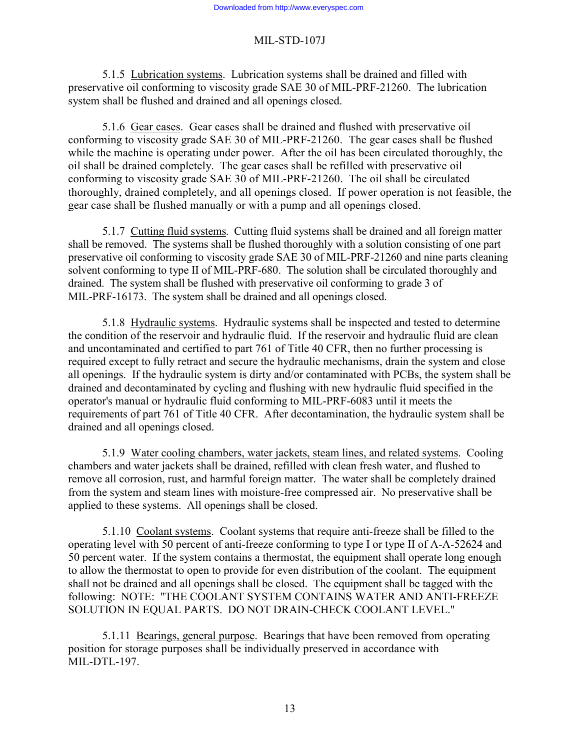5.1.5 Lubrication systems. Lubrication systems shall be drained and filled with preservative oil conforming to viscosity grade SAE 30 of MIL-PRF-21260. The lubrication system shall be flushed and drained and all openings closed.

5.1.6 Gear cases. Gear cases shall be drained and flushed with preservative oil conforming to viscosity grade SAE 30 of MIL-PRF-21260. The gear cases shall be flushed while the machine is operating under power. After the oil has been circulated thoroughly, the oil shall be drained completely. The gear cases shall be refilled with preservative oil conforming to viscosity grade SAE 30 of MIL-PRF-21260. The oil shall be circulated thoroughly, drained completely, and all openings closed. If power operation is not feasible, the gear case shall be flushed manually or with a pump and all openings closed.

5.1.7 Cutting fluid systems. Cutting fluid systems shall be drained and all foreign matter shall be removed. The systems shall be flushed thoroughly with a solution consisting of one part preservative oil conforming to viscosity grade SAE 30 of MIL-PRF-21260 and nine parts cleaning solvent conforming to type II of MIL-PRF-680. The solution shall be circulated thoroughly and drained. The system shall be flushed with preservative oil conforming to grade 3 of MIL-PRF-16173. The system shall be drained and all openings closed.

5.1.8 Hydraulic systems. Hydraulic systems shall be inspected and tested to determine the condition of the reservoir and hydraulic fluid. If the reservoir and hydraulic fluid are clean and uncontaminated and certified to part 761 of Title 40 CFR, then no further processing is required except to fully retract and secure the hydraulic mechanisms, drain the system and close all openings. If the hydraulic system is dirty and/or contaminated with PCBs, the system shall be drained and decontaminated by cycling and flushing with new hydraulic fluid specified in the operator's manual or hydraulic fluid conforming to MIL-PRF-6083 until it meets the requirements of part 761 of Title 40 CFR. After decontamination, the hydraulic system shall be drained and all openings closed.

5.1.9 Water cooling chambers, water jackets, steam lines, and related systems. Cooling chambers and water jackets shall be drained, refilled with clean fresh water, and flushed to remove all corrosion, rust, and harmful foreign matter. The water shall be completely drained from the system and steam lines with moisture-free compressed air. No preservative shall be applied to these systems. All openings shall be closed.

5.1.10 Coolant systems. Coolant systems that require anti-freeze shall be filled to the operating level with 50 percent of anti-freeze conforming to type I or type II of A-A-52624 and 50 percent water. If the system contains a thermostat, the equipment shall operate long enough to allow the thermostat to open to provide for even distribution of the coolant. The equipment shall not be drained and all openings shall be closed. The equipment shall be tagged with the following: NOTE: "THE COOLANT SYSTEM CONTAINS WATER AND ANTI-FREEZE SOLUTION IN EQUAL PARTS. DO NOT DRAIN-CHECK COOLANT LEVEL."

5.1.11 Bearings, general purpose. Bearings that have been removed from operating position for storage purposes shall be individually preserved in accordance with MIL-DTL-197.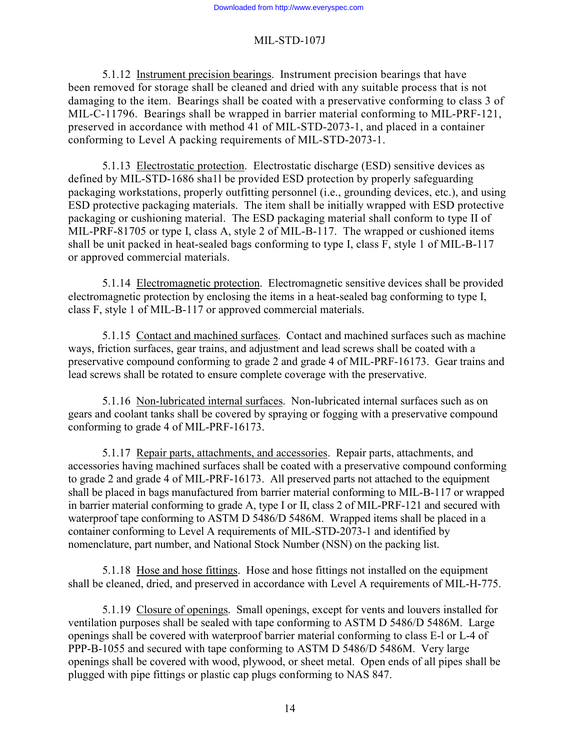5.1.12 Instrument precision bearings. Instrument precision bearings that have been removed for storage shall be cleaned and dried with any suitable process that is not damaging to the item. Bearings shall be coated with a preservative conforming to class 3 of MIL-C-11796. Bearings shall be wrapped in barrier material conforming to MIL-PRF-121, preserved in accordance with method 41 of MIL-STD-2073-1, and placed in a container conforming to Level A packing requirements of MIL-STD-2073-1.

5.1.13 Electrostatic protection. Electrostatic discharge (ESD) sensitive devices as defined by MIL-STD-1686 sha1l be provided ESD protection by properly safeguarding packaging workstations, properly outfitting personnel (i.e., grounding devices, etc.), and using ESD protective packaging materials. The item shall be initially wrapped with ESD protective packaging or cushioning material. The ESD packaging material shall conform to type II of MIL-PRF-81705 or type I, class A, style 2 of MIL-B-117. The wrapped or cushioned items shall be unit packed in heat-sealed bags conforming to type I, class F, style 1 of MIL-B-117 or approved commercial materials.

5.1.14 Electromagnetic protection. Electromagnetic sensitive devices shall be provided electromagnetic protection by enclosing the items in a heat-sealed bag conforming to type I, class F, style 1 of MIL-B-117 or approved commercial materials.

5.1.15 Contact and machined surfaces. Contact and machined surfaces such as machine ways, friction surfaces, gear trains, and adjustment and lead screws shall be coated with a preservative compound conforming to grade 2 and grade 4 of MIL-PRF-16173. Gear trains and lead screws shall be rotated to ensure complete coverage with the preservative.

5.1.16 Non-lubricated internal surfaces. Non-lubricated internal surfaces such as on gears and coolant tanks shall be covered by spraying or fogging with a preservative compound conforming to grade 4 of MIL-PRF-16173.

5.1.17 Repair parts, attachments, and accessories. Repair parts, attachments, and accessories having machined surfaces shall be coated with a preservative compound conforming to grade 2 and grade 4 of MIL-PRF-16173. All preserved parts not attached to the equipment shall be placed in bags manufactured from barrier material conforming to MIL-B-117 or wrapped in barrier material conforming to grade A, type I or II, class 2 of MIL-PRF-121 and secured with waterproof tape conforming to ASTM D 5486/D 5486M. Wrapped items shall be placed in a container conforming to Level A requirements of MIL-STD-2073-1 and identified by nomenclature, part number, and National Stock Number (NSN) on the packing list.

5.1.18 Hose and hose fittings. Hose and hose fittings not installed on the equipment shall be cleaned, dried, and preserved in accordance with Level A requirements of MIL-H-775.

5.1.19 Closure of openings. Small openings, except for vents and louvers installed for ventilation purposes shall be sealed with tape conforming to ASTM D 5486/D 5486M. Large openings shall be covered with waterproof barrier material conforming to class E-l or L-4 of PPP-B-1055 and secured with tape conforming to ASTM D 5486/D 5486M. Very large openings shall be covered with wood, plywood, or sheet metal. Open ends of all pipes shall be plugged with pipe fittings or plastic cap plugs conforming to NAS 847.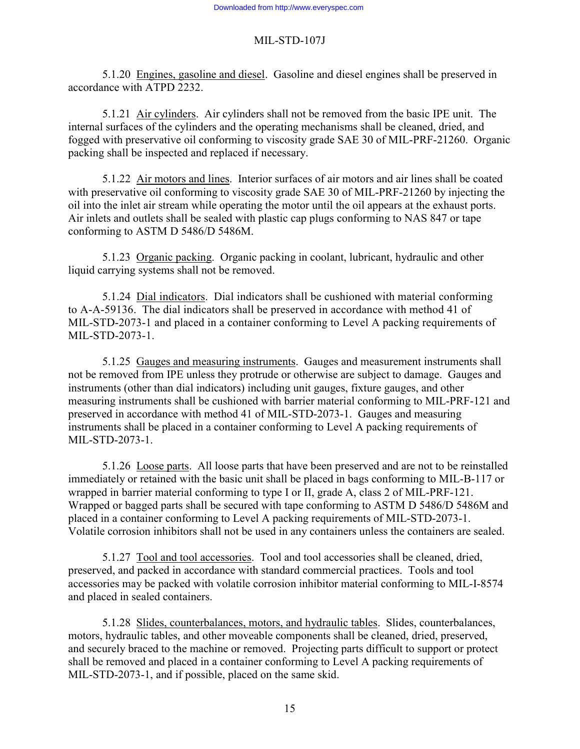5.1.20 Engines, gasoline and diesel. Gasoline and diesel engines shall be preserved in accordance with ATPD 2232.

5.1.21 Air cylinders. Air cylinders shall not be removed from the basic IPE unit. The internal surfaces of the cylinders and the operating mechanisms shall be cleaned, dried, and fogged with preservative oil conforming to viscosity grade SAE 30 of MIL-PRF-21260. Organic packing shall be inspected and replaced if necessary.

5.1.22 Air motors and lines. Interior surfaces of air motors and air lines shall be coated with preservative oil conforming to viscosity grade SAE 30 of MIL-PRF-21260 by injecting the oil into the inlet air stream while operating the motor until the oil appears at the exhaust ports. Air inlets and outlets shall be sealed with plastic cap plugs conforming to NAS 847 or tape conforming to ASTM D 5486/D 5486M.

5.1.23 Organic packing. Organic packing in coolant, lubricant, hydraulic and other liquid carrying systems shall not be removed.

5.1.24 Dial indicators. Dial indicators shall be cushioned with material conforming to A-A-59136. The dial indicators shall be preserved in accordance with method 41 of MIL-STD-2073-1 and placed in a container conforming to Level A packing requirements of MIL-STD-2073-1.

5.1.25 Gauges and measuring instruments. Gauges and measurement instruments shall not be removed from IPE unless they protrude or otherwise are subject to damage. Gauges and instruments (other than dial indicators) including unit gauges, fixture gauges, and other measuring instruments shall be cushioned with barrier material conforming to MIL-PRF-121 and preserved in accordance with method 41 of MIL-STD-2073-1. Gauges and measuring instruments shall be placed in a container conforming to Level A packing requirements of MIL-STD-2073-1.

5.1.26 Loose parts. All loose parts that have been preserved and are not to be reinstalled immediately or retained with the basic unit shall be placed in bags conforming to MIL-B-117 or wrapped in barrier material conforming to type I or II, grade A, class 2 of MIL-PRF-121. Wrapped or bagged parts shall be secured with tape conforming to ASTM D 5486/D 5486M and placed in a container conforming to Level A packing requirements of MIL-STD-2073-1. Volatile corrosion inhibitors shall not be used in any containers unless the containers are sealed.

5.1.27 Tool and tool accessories. Tool and tool accessories shall be cleaned, dried, preserved, and packed in accordance with standard commercial practices. Tools and tool accessories may be packed with volatile corrosion inhibitor material conforming to MIL-I-8574 and placed in sealed containers.

5.1.28 Slides, counterbalances, motors, and hydraulic tables. Slides, counterbalances, motors, hydraulic tables, and other moveable components shall be cleaned, dried, preserved, and securely braced to the machine or removed. Projecting parts difficult to support or protect shall be removed and placed in a container conforming to Level A packing requirements of MIL-STD-2073-1, and if possible, placed on the same skid.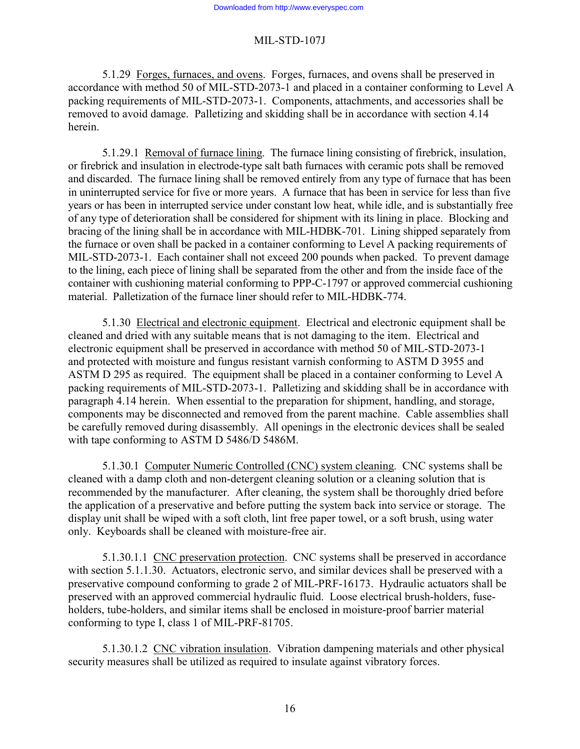5.1.29 Forges, furnaces, and ovens. Forges, furnaces, and ovens shall be preserved in accordance with method 50 of MIL-STD-2073-1 and placed in a container conforming to Level A packing requirements of MIL-STD-2073-1. Components, attachments, and accessories shall be removed to avoid damage. Palletizing and skidding shall be in accordance with section 4.14 herein.

5.1.29.1 Removal of furnace lining. The furnace lining consisting of firebrick, insulation, or firebrick and insulation in electrode-type salt bath furnaces with ceramic pots shall be removed and discarded. The furnace lining shall be removed entirely from any type of furnace that has been in uninterrupted service for five or more years. A furnace that has been in service for less than five years or has been in interrupted service under constant low heat, while idle, and is substantially free of any type of deterioration shall be considered for shipment with its lining in place. Blocking and bracing of the lining shall be in accordance with MIL-HDBK-701. Lining shipped separately from the furnace or oven shall be packed in a container conforming to Level A packing requirements of MIL-STD-2073-1. Each container shall not exceed 200 pounds when packed. To prevent damage to the lining, each piece of lining shall be separated from the other and from the inside face of the container with cushioning material conforming to PPP-C-1797 or approved commercial cushioning material. Palletization of the furnace liner should refer to MIL-HDBK-774.

5.1.30 Electrical and electronic equipment. Electrical and electronic equipment shall be cleaned and dried with any suitable means that is not damaging to the item. Electrical and electronic equipment shall be preserved in accordance with method 50 of MIL-STD-2073-1 and protected with moisture and fungus resistant varnish conforming to ASTM D 3955 and ASTM D 295 as required. The equipment shall be placed in a container conforming to Level A packing requirements of MIL-STD-2073-1. Palletizing and skidding shall be in accordance with paragraph 4.14 herein. When essential to the preparation for shipment, handling, and storage, components may be disconnected and removed from the parent machine. Cable assemblies shall be carefully removed during disassembly. All openings in the electronic devices shall be sealed with tape conforming to ASTM D 5486/D 5486M.

5.1.30.1 Computer Numeric Controlled (CNC) system cleaning. CNC systems shall be cleaned with a damp cloth and non-detergent cleaning solution or a cleaning solution that is recommended by the manufacturer. After cleaning, the system shall be thoroughly dried before the application of a preservative and before putting the system back into service or storage. The display unit shall be wiped with a soft cloth, lint free paper towel, or a soft brush, using water only. Keyboards shall be cleaned with moisture-free air.

5.1.30.1.1 CNC preservation protection. CNC systems shall be preserved in accordance with section 5.1.1.30. Actuators, electronic servo, and similar devices shall be preserved with a preservative compound conforming to grade 2 of MIL-PRF-16173. Hydraulic actuators shall be preserved with an approved commercial hydraulic fluid. Loose electrical brush-holders, fuseholders, tube-holders, and similar items shall be enclosed in moisture-proof barrier material conforming to type I, class 1 of MIL-PRF-81705.

5.1.30.1.2 CNC vibration insulation. Vibration dampening materials and other physical security measures shall be utilized as required to insulate against vibratory forces.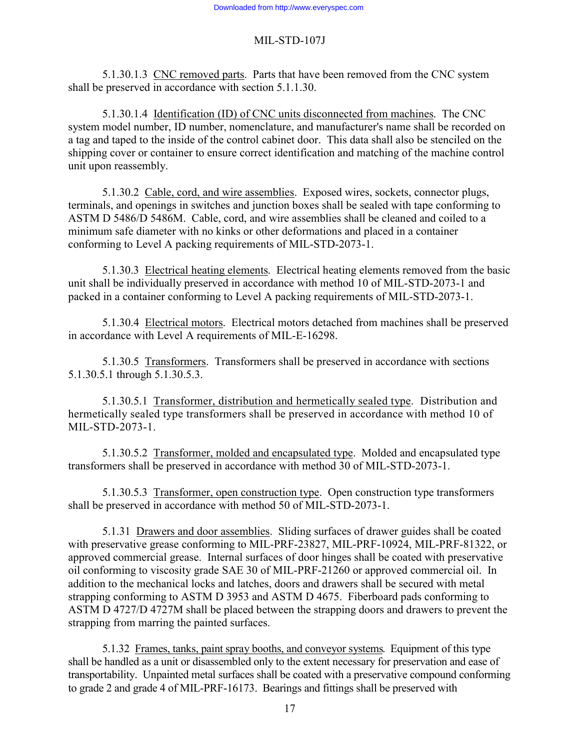5.1.30.1.3 CNC removed parts. Parts that have been removed from the CNC system shall be preserved in accordance with section 5.1.1.30.

5.1.30.1.4 Identification (ID) of CNC units disconnected from machines. The CNC system model number, ID number, nomenclature, and manufacturer's name shall be recorded on a tag and taped to the inside of the control cabinet door. This data shall also be stenciled on the shipping cover or container to ensure correct identification and matching of the machine control unit upon reassembly.

5.1.30.2 Cable, cord, and wire assemblies. Exposed wires, sockets, connector plugs, terminals, and openings in switches and junction boxes shall be sealed with tape conforming to ASTM D 5486/D 5486M. Cable, cord, and wire assemblies shall be cleaned and coiled to a minimum safe diameter with no kinks or other deformations and placed in a container conforming to Level A packing requirements of MIL-STD-2073-1.

5.1.30.3 Electrical heating elements. Electrical heating elements removed from the basic unit shall be individually preserved in accordance with method 10 of MIL-STD-2073-1 and packed in a container conforming to Level A packing requirements of MIL-STD-2073-1.

5.1.30.4 Electrical motors. Electrical motors detached from machines shall be preserved in accordance with Level A requirements of MIL-E-16298.

5.1.30.5 Transformers. Transformers shall be preserved in accordance with sections 5.1.30.5.1 through 5.1.30.5.3.

5.1.30.5.1 Transformer, distribution and hermetically sealed type. Distribution and hermetically sealed type transformers shall be preserved in accordance with method 10 of MIL-STD-2073-1.

5.1.30.5.2 Transformer, molded and encapsulated type. Molded and encapsulated type transformers shall be preserved in accordance with method 30 of MIL-STD-2073-1.

5.1.30.5.3 Transformer, open construction type. Open construction type transformers shall be preserved in accordance with method 50 of MIL-STD-2073-1.

5.1.31 Drawers and door assemblies. Sliding surfaces of drawer guides shall be coated with preservative grease conforming to MIL-PRF-23827, MIL-PRF-10924, MIL-PRF-81322, or approved commercial grease. Internal surfaces of door hinges shall be coated with preservative oil conforming to viscosity grade SAE 30 of MIL-PRF-21260 or approved commercial oil. In addition to the mechanical locks and latches, doors and drawers shall be secured with metal strapping conforming to ASTM D 3953 and ASTM D 4675. Fiberboard pads conforming to ASTM D 4727/D 4727M shall be placed between the strapping doors and drawers to prevent the strapping from marring the painted surfaces.

5.1.32 Frames, tanks, paint spray booths, and conveyor systems. Equipment of this type shall be handled as a unit or disassembled only to the extent necessary for preservation and ease of transportability. Unpainted metal surfaces shall be coated with a preservative compound conforming to grade 2 and grade 4 of MIL-PRF-16173. Bearings and fittings shall be preserved with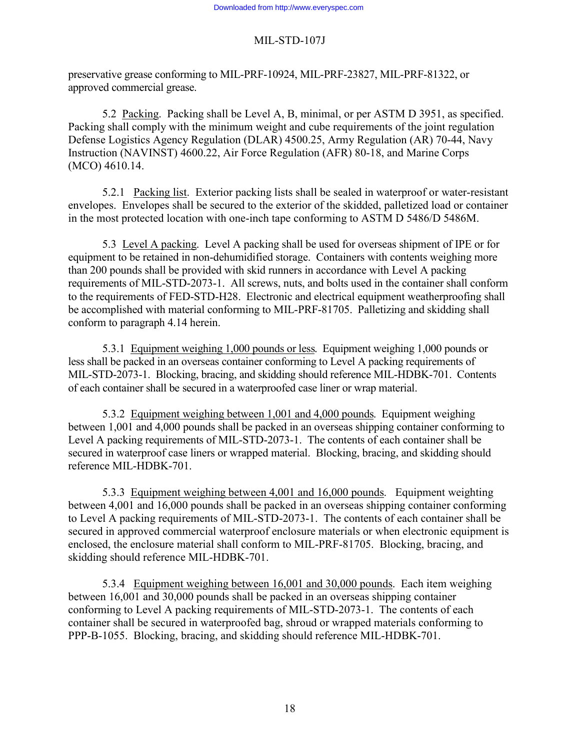preservative grease conforming to MIL-PRF-10924, MIL-PRF-23827, MIL-PRF-81322, or approved commercial grease.

5.2 Packing. Packing shall be Level A, B, minimal, or per ASTM D 3951, as specified. Packing shall comply with the minimum weight and cube requirements of the joint regulation Defense Logistics Agency Regulation (DLAR) 4500.25, Army Regulation (AR) 70-44, Navy Instruction (NAVINST) 4600.22, Air Force Regulation (AFR) 80-18, and Marine Corps (MCO) 4610.14.

5.2.1 Packing list. Exterior packing lists shall be sealed in waterproof or water-resistant envelopes. Envelopes shall be secured to the exterior of the skidded, palletized load or container in the most protected location with one-inch tape conforming to ASTM D 5486/D 5486M.

5.3 Level A packing. Level A packing shall be used for overseas shipment of IPE or for equipment to be retained in non-dehumidified storage. Containers with contents weighing more than 200 pounds shall be provided with skid runners in accordance with Level A packing requirements of MIL-STD-2073-1. All screws, nuts, and bolts used in the container shall conform to the requirements of FED-STD-H28. Electronic and electrical equipment weatherproofing shall be accomplished with material conforming to MIL-PRF-81705. Palletizing and skidding shall conform to paragraph 4.14 herein.

5.3.1 Equipment weighing 1,000 pounds or less. Equipment weighing 1,000 pounds or less shall be packed in an overseas container conforming to Level A packing requirements of MIL-STD-2073-1. Blocking, bracing, and skidding should reference MIL-HDBK-701. Contents of each container shall be secured in a waterproofed case liner or wrap material.

5.3.2 Equipment weighing between 1,001 and 4,000 pounds. Equipment weighing between 1,001 and 4,000 pounds shall be packed in an overseas shipping container conforming to Level A packing requirements of MIL-STD-2073-1. The contents of each container shall be secured in waterproof case liners or wrapped material. Blocking, bracing, and skidding should reference MIL-HDBK-701.

5.3.3 Equipment weighing between 4,001 and 16,000 pounds. Equipment weighting between 4,001 and 16,000 pounds shall be packed in an overseas shipping container conforming to Level A packing requirements of MIL-STD-2073-1. The contents of each container shall be secured in approved commercial waterproof enclosure materials or when electronic equipment is enclosed, the enclosure material shall conform to MIL-PRF-81705. Blocking, bracing, and skidding should reference MIL-HDBK-701.

5.3.4 Equipment weighing between 16,001 and 30,000 pounds. Each item weighing between 16,001 and 30,000 pounds shall be packed in an overseas shipping container conforming to Level A packing requirements of MIL-STD-2073-1. The contents of each container shall be secured in waterproofed bag, shroud or wrapped materials conforming to PPP-B-1055. Blocking, bracing, and skidding should reference MIL-HDBK-701.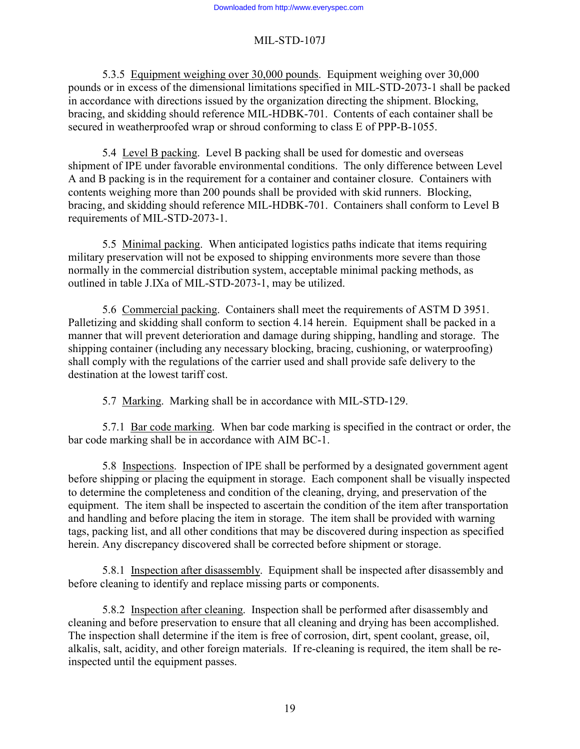5.3.5 Equipment weighing over 30,000 pounds. Equipment weighing over 30,000 pounds or in excess of the dimensional limitations specified in MIL-STD-2073-1 shall be packed in accordance with directions issued by the organization directing the shipment. Blocking, bracing, and skidding should reference MIL-HDBK-701. Contents of each container shall be secured in weatherproofed wrap or shroud conforming to class E of PPP-B-1055.

5.4 Level B packing. Level B packing shall be used for domestic and overseas shipment of IPE under favorable environmental conditions. The only difference between Level A and B packing is in the requirement for a container and container closure. Containers with contents weighing more than 200 pounds shall be provided with skid runners. Blocking, bracing, and skidding should reference MIL-HDBK-701. Containers shall conform to Level B requirements of MIL-STD-2073-1.

5.5 Minimal packing. When anticipated logistics paths indicate that items requiring military preservation will not be exposed to shipping environments more severe than those normally in the commercial distribution system, acceptable minimal packing methods, as outlined in table J.IXa of MIL-STD-2073-1, may be utilized.

5.6 Commercial packing. Containers shall meet the requirements of ASTM D 3951. Palletizing and skidding shall conform to section 4.14 herein. Equipment shall be packed in a manner that will prevent deterioration and damage during shipping, handling and storage. The shipping container (including any necessary blocking, bracing, cushioning, or waterproofing) shall comply with the regulations of the carrier used and shall provide safe delivery to the destination at the lowest tariff cost.

5.7 Marking. Marking shall be in accordance with MIL-STD-129.

5.7.1 Bar code marking. When bar code marking is specified in the contract or order, the bar code marking shall be in accordance with AIM BC-1.

5.8 Inspections. Inspection of IPE shall be performed by a designated government agent before shipping or placing the equipment in storage. Each component shall be visually inspected to determine the completeness and condition of the cleaning, drying, and preservation of the equipment. The item shall be inspected to ascertain the condition of the item after transportation and handling and before placing the item in storage. The item shall be provided with warning tags, packing list, and all other conditions that may be discovered during inspection as specified herein. Any discrepancy discovered shall be corrected before shipment or storage.

5.8.1 Inspection after disassembly. Equipment shall be inspected after disassembly and before cleaning to identify and replace missing parts or components.

5.8.2 Inspection after cleaning. Inspection shall be performed after disassembly and cleaning and before preservation to ensure that all cleaning and drying has been accomplished. The inspection shall determine if the item is free of corrosion, dirt, spent coolant, grease, oil, alkalis, salt, acidity, and other foreign materials. If re-cleaning is required, the item shall be reinspected until the equipment passes.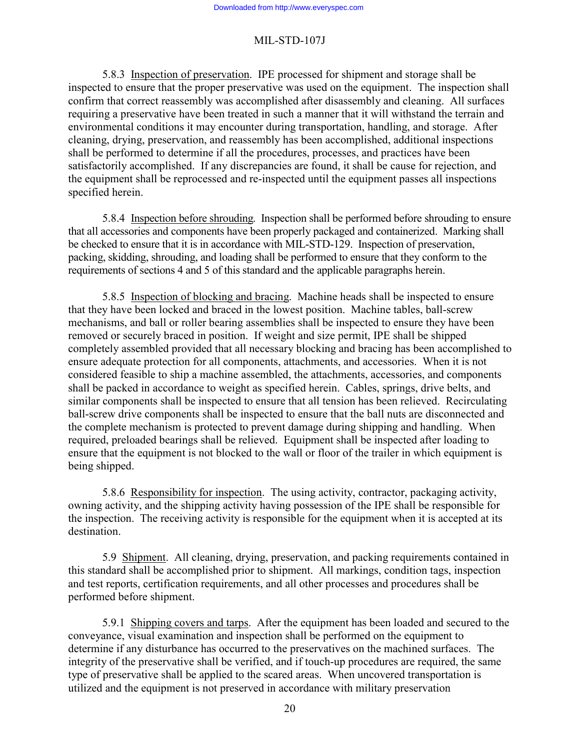5.8.3 Inspection of preservation. IPE processed for shipment and storage shall be inspected to ensure that the proper preservative was used on the equipment. The inspection shall confirm that correct reassembly was accomplished after disassembly and cleaning. All surfaces requiring a preservative have been treated in such a manner that it will withstand the terrain and environmental conditions it may encounter during transportation, handling, and storage. After cleaning, drying, preservation, and reassembly has been accomplished, additional inspections shall be performed to determine if all the procedures, processes, and practices have been satisfactorily accomplished. If any discrepancies are found, it shall be cause for rejection, and the equipment shall be reprocessed and re-inspected until the equipment passes all inspections specified herein.

5.8.4 Inspection before shrouding. Inspection shall be performed before shrouding to ensure that all accessories and components have been properly packaged and containerized. Marking shall be checked to ensure that it is in accordance with MIL-STD-129. Inspection of preservation, packing, skidding, shrouding, and loading shall be performed to ensure that they conform to the requirements of sections 4 and 5 of this standard and the applicable paragraphs herein.

5.8.5 Inspection of blocking and bracing. Machine heads shall be inspected to ensure that they have been locked and braced in the lowest position. Machine tables, ball-screw mechanisms, and ball or roller bearing assemblies shall be inspected to ensure they have been removed or securely braced in position. If weight and size permit, IPE shall be shipped completely assembled provided that all necessary blocking and bracing has been accomplished to ensure adequate protection for all components, attachments, and accessories. When it is not considered feasible to ship a machine assembled, the attachments, accessories, and components shall be packed in accordance to weight as specified herein. Cables, springs, drive belts, and similar components shall be inspected to ensure that all tension has been relieved. Recirculating ball-screw drive components shall be inspected to ensure that the ball nuts are disconnected and the complete mechanism is protected to prevent damage during shipping and handling. When required, preloaded bearings shall be relieved. Equipment shall be inspected after loading to ensure that the equipment is not blocked to the wall or floor of the trailer in which equipment is being shipped.

5.8.6 Responsibility for inspection. The using activity, contractor, packaging activity, owning activity, and the shipping activity having possession of the IPE shall be responsible for the inspection. The receiving activity is responsible for the equipment when it is accepted at its destination.

5.9 Shipment. All cleaning, drying, preservation, and packing requirements contained in this standard shall be accomplished prior to shipment. All markings, condition tags, inspection and test reports, certification requirements, and all other processes and procedures shall be performed before shipment.

5.9.1 Shipping covers and tarps. After the equipment has been loaded and secured to the conveyance, visual examination and inspection shall be performed on the equipment to determine if any disturbance has occurred to the preservatives on the machined surfaces. The integrity of the preservative shall be verified, and if touch-up procedures are required, the same type of preservative shall be applied to the scared areas. When uncovered transportation is utilized and the equipment is not preserved in accordance with military preservation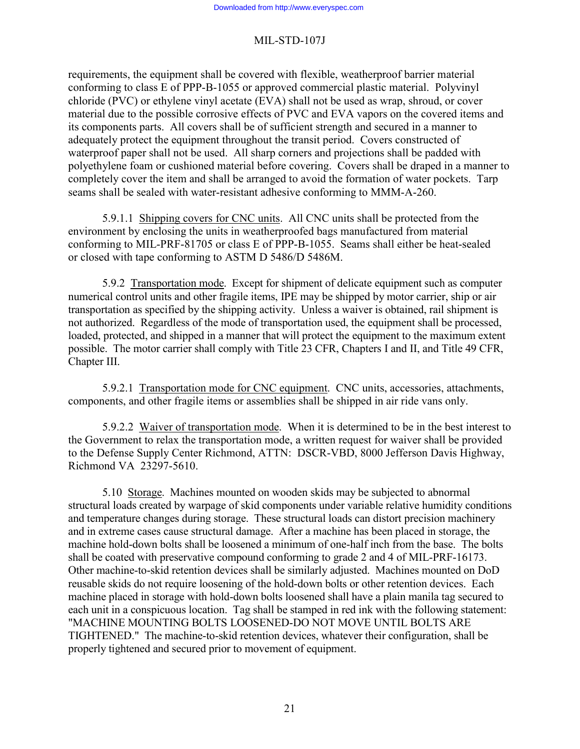requirements, the equipment shall be covered with flexible, weatherproof barrier material conforming to class E of PPP-B-1055 or approved commercial plastic material. Polyvinyl chloride (PVC) or ethylene vinyl acetate (EVA) shall not be used as wrap, shroud, or cover material due to the possible corrosive effects of PVC and EVA vapors on the covered items and its components parts. All covers shall be of sufficient strength and secured in a manner to adequately protect the equipment throughout the transit period. Covers constructed of waterproof paper shall not be used. All sharp corners and projections shall be padded with polyethylene foam or cushioned material before covering. Covers shall be draped in a manner to completely cover the item and shall be arranged to avoid the formation of water pockets. Tarp seams shall be sealed with water-resistant adhesive conforming to MMM-A-260.

5.9.1.1 Shipping covers for CNC units. All CNC units shall be protected from the environment by enclosing the units in weatherproofed bags manufactured from material conforming to MIL-PRF-81705 or class E of PPP-B-1055. Seams shall either be heat-sealed or closed with tape conforming to ASTM D 5486/D 5486M.

5.9.2 Transportation mode. Except for shipment of delicate equipment such as computer numerical control units and other fragile items, IPE may be shipped by motor carrier, ship or air transportation as specified by the shipping activity. Unless a waiver is obtained, rail shipment is not authorized. Regardless of the mode of transportation used, the equipment shall be processed, loaded, protected, and shipped in a manner that will protect the equipment to the maximum extent possible. The motor carrier shall comply with Title 23 CFR, Chapters I and II, and Title 49 CFR, Chapter III.

5.9.2.1 Transportation mode for CNC equipment. CNC units, accessories, attachments, components, and other fragile items or assemblies shall be shipped in air ride vans only.

5.9.2.2 Waiver of transportation mode. When it is determined to be in the best interest to the Government to relax the transportation mode, a written request for waiver shall be provided to the Defense Supply Center Richmond, ATTN: DSCR-VBD, 8000 Jefferson Davis Highway, Richmond VA 23297-5610.

5.10 Storage. Machines mounted on wooden skids may be subjected to abnormal structural loads created by warpage of skid components under variable relative humidity conditions and temperature changes during storage. These structural loads can distort precision machinery and in extreme cases cause structural damage. After a machine has been placed in storage, the machine hold-down bolts shall be loosened a minimum of one-half inch from the base. The bolts shall be coated with preservative compound conforming to grade 2 and 4 of MIL-PRF-16173. Other machine-to-skid retention devices shall be similarly adjusted. Machines mounted on DoD reusable skids do not require loosening of the hold-down bolts or other retention devices. Each machine placed in storage with hold-down bolts loosened shall have a plain manila tag secured to each unit in a conspicuous location. Tag shall be stamped in red ink with the following statement: "MACHINE MOUNTING BOLTS LOOSENED-DO NOT MOVE UNTIL BOLTS ARE TIGHTENED." The machine-to-skid retention devices, whatever their configuration, shall be properly tightened and secured prior to movement of equipment.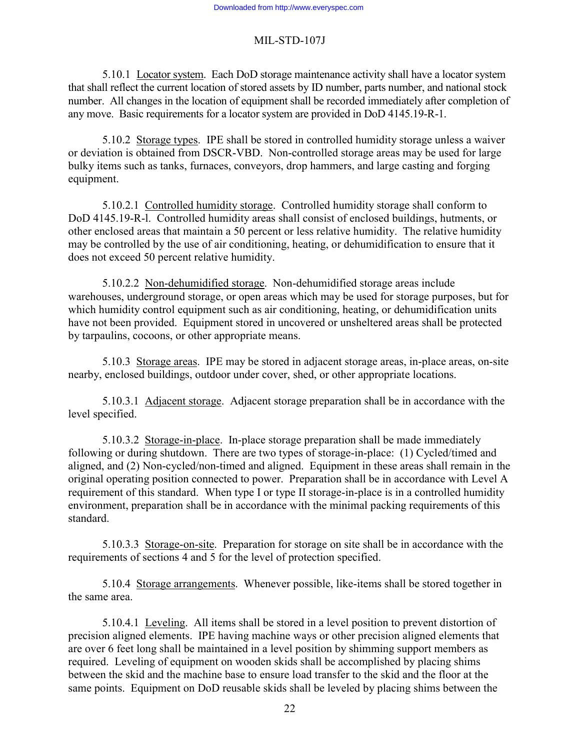5.10.1 Locator system. Each DoD storage maintenance activity shall have a locator system that shall reflect the current location of stored assets by ID number, parts number, and national stock number. All changes in the location of equipment shall be recorded immediately after completion of any move. Basic requirements for a locator system are provided in DoD 4145.19-R-1.

5.10.2 Storage types. IPE shall be stored in controlled humidity storage unless a waiver or deviation is obtained from DSCR-VBD. Non-controlled storage areas may be used for large bulky items such as tanks, furnaces, conveyors, drop hammers, and large casting and forging equipment.

5.10.2.1 Controlled humidity storage. Controlled humidity storage shall conform to DoD 4145.19-R-l. Controlled humidity areas shall consist of enclosed buildings, hutments, or other enclosed areas that maintain a 50 percent or less relative humidity. The relative humidity may be controlled by the use of air conditioning, heating, or dehumidification to ensure that it does not exceed 50 percent relative humidity.

5.10.2.2 Non-dehumidified storage. Non-dehumidified storage areas include warehouses, underground storage, or open areas which may be used for storage purposes, but for which humidity control equipment such as air conditioning, heating, or dehumidification units have not been provided. Equipment stored in uncovered or unsheltered areas shall be protected by tarpaulins, cocoons, or other appropriate means.

5.10.3 Storage areas. IPE may be stored in adjacent storage areas, in-place areas, on-site nearby, enclosed buildings, outdoor under cover, shed, or other appropriate locations.

5.10.3.1 Adjacent storage. Adjacent storage preparation shall be in accordance with the level specified.

5.10.3.2 Storage-in-place. In-place storage preparation shall be made immediately following or during shutdown. There are two types of storage-in-place: (1) Cycled/timed and aligned, and (2) Non-cycled/non-timed and aligned. Equipment in these areas shall remain in the original operating position connected to power. Preparation shall be in accordance with Level A requirement of this standard. When type I or type II storage-in-place is in a controlled humidity environment, preparation shall be in accordance with the minimal packing requirements of this standard.

5.10.3.3 Storage-on-site. Preparation for storage on site shall be in accordance with the requirements of sections 4 and 5 for the level of protection specified.

5.10.4 Storage arrangements. Whenever possible, like-items shall be stored together in the same area.

5.10.4.1 Leveling. All items shall be stored in a level position to prevent distortion of precision aligned elements. IPE having machine ways or other precision aligned elements that are over 6 feet long shall be maintained in a level position by shimming support members as required. Leveling of equipment on wooden skids shall be accomplished by placing shims between the skid and the machine base to ensure load transfer to the skid and the floor at the same points. Equipment on DoD reusable skids shall be leveled by placing shims between the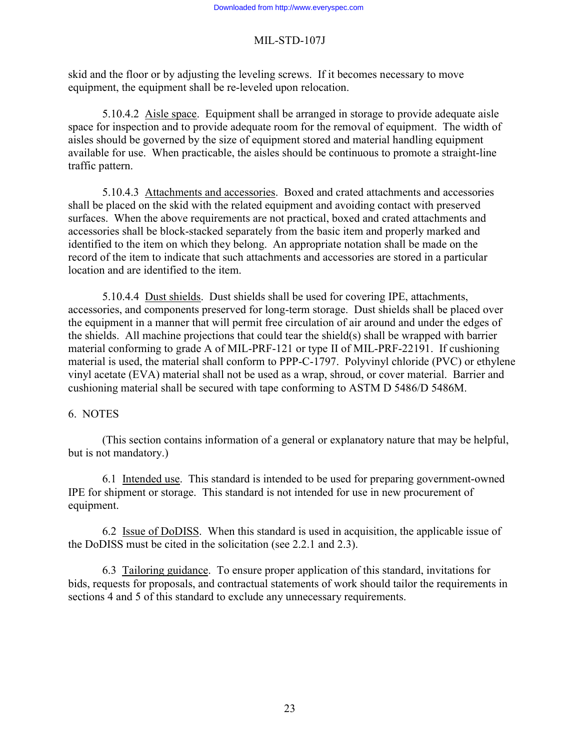skid and the floor or by adjusting the leveling screws. If it becomes necessary to move equipment, the equipment shall be re-leveled upon relocation.

5.10.4.2 Aisle space. Equipment shall be arranged in storage to provide adequate aisle space for inspection and to provide adequate room for the removal of equipment. The width of aisles should be governed by the size of equipment stored and material handling equipment available for use. When practicable, the aisles should be continuous to promote a straight-line traffic pattern.

5.10.4.3 Attachments and accessories. Boxed and crated attachments and accessories shall be placed on the skid with the related equipment and avoiding contact with preserved surfaces. When the above requirements are not practical, boxed and crated attachments and accessories shall be block-stacked separately from the basic item and properly marked and identified to the item on which they belong. An appropriate notation shall be made on the record of the item to indicate that such attachments and accessories are stored in a particular location and are identified to the item.

5.10.4.4 Dust shields. Dust shields shall be used for covering IPE, attachments, accessories, and components preserved for long-term storage. Dust shields shall be placed over the equipment in a manner that will permit free circulation of air around and under the edges of the shields. All machine projections that could tear the shield(s) shall be wrapped with barrier material conforming to grade A of MIL-PRF-121 or type II of MIL-PRF-22191. If cushioning material is used, the material shall conform to PPP-C-1797. Polyvinyl chloride (PVC) or ethylene vinyl acetate (EVA) material shall not be used as a wrap, shroud, or cover material. Barrier and cushioning material shall be secured with tape conforming to ASTM D 5486/D 5486M.

#### 6. NOTES

(This section contains information of a general or explanatory nature that may be helpful, but is not mandatory.)

6.1 Intended use. This standard is intended to be used for preparing government-owned IPE for shipment or storage. This standard is not intended for use in new procurement of equipment.

6.2 Issue of DoDISS. When this standard is used in acquisition, the applicable issue of the DoDISS must be cited in the solicitation (see 2.2.1 and 2.3).

6.3 Tailoring guidance. To ensure proper application of this standard, invitations for bids, requests for proposals, and contractual statements of work should tailor the requirements in sections 4 and 5 of this standard to exclude any unnecessary requirements.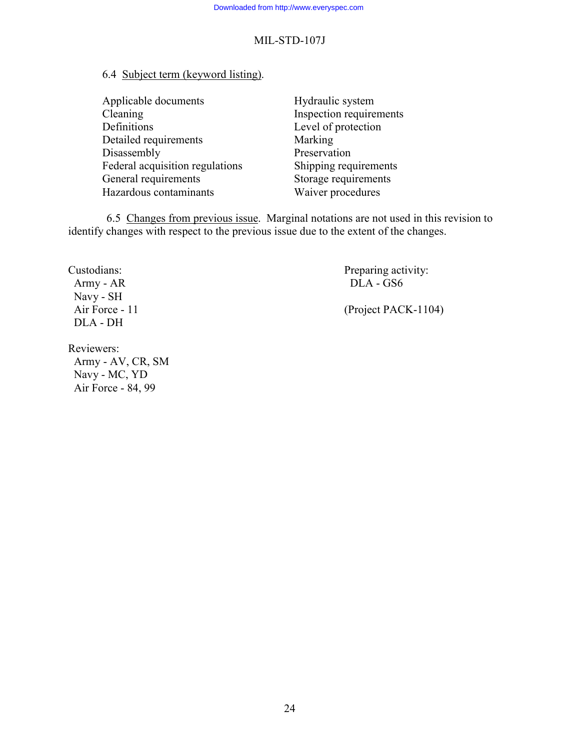#### 6.4 Subject term (keyword listing).

Applicable documents Hydraulic system Cleaning Inspection requirements Definitions Level of protection Detailed requirements Marking Disassembly Preservation Federal acquisition regulations Shipping requirements General requirements Storage requirements Hazardous contaminants Waiver procedures

6.5 Changes from previous issue. Marginal notations are not used in this revision to identify changes with respect to the previous issue due to the extent of the changes.

Custodians: Army - AR Navy - SH Air Force - 11 DLA - DH Preparing activity: DLA - GS6 (Project PACK-1104)

Reviewers:

 Army - AV, CR, SM Navy - MC, YD Air Force - 84, 99

24